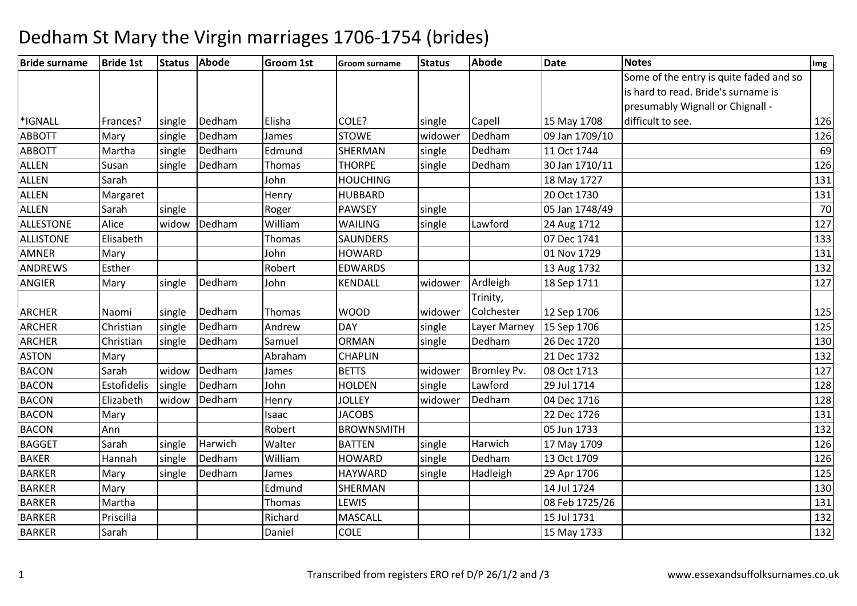| <b>Bride surname</b> | <b>Bride 1st</b> | <b>Status</b> | <b>Abode</b> | <b>Groom 1st</b> | Groom surname     | <b>Status</b> | Abode              | <b>Date</b>    | <b>Notes</b>                            | Img |
|----------------------|------------------|---------------|--------------|------------------|-------------------|---------------|--------------------|----------------|-----------------------------------------|-----|
|                      |                  |               |              |                  |                   |               |                    |                | Some of the entry is quite faded and so |     |
|                      |                  |               |              |                  |                   |               |                    |                | is hard to read. Bride's surname is     |     |
|                      |                  |               |              |                  |                   |               |                    |                | presumably Wignall or Chignall -        |     |
| *IGNALL              | Frances?         | single        | Dedham       | Elisha           | COLE?             | single        | Capell             | 15 May 1708    | difficult to see.                       | 126 |
| <b>ABBOTT</b>        | Mary             | single        | Dedham       | James            | <b>STOWE</b>      | widower       | Dedham             | 09 Jan 1709/10 |                                         | 126 |
| <b>ABBOTT</b>        | Martha           | single        | Dedham       | Edmund           | SHERMAN           | single        | Dedham             | 11 Oct 1744    |                                         | 69  |
| <b>ALLEN</b>         | Susan            | single        | Dedham       | Thomas           | <b>THORPE</b>     | single        | Dedham             | 30 Jan 1710/11 |                                         | 126 |
| <b>ALLEN</b>         | Sarah            |               |              | John             | <b>HOUCHING</b>   |               |                    | 18 May 1727    |                                         | 131 |
| <b>ALLEN</b>         | Margaret         |               |              | Henry            | <b>HUBBARD</b>    |               |                    | 20 Oct 1730    |                                         | 131 |
| ALLEN                | Sarah            | single        |              | Roger            | <b>PAWSEY</b>     | single        |                    | 05 Jan 1748/49 |                                         | 70  |
| <b>ALLESTONE</b>     | Alice            | widow         | Dedham       | William          | WAILING           | single        | Lawford            | 24 Aug 1712    |                                         | 127 |
| <b>ALLISTONE</b>     | Elisabeth        |               |              | Thomas           | SAUNDERS          |               |                    | 07 Dec 1741    |                                         | 133 |
| <b>AMNER</b>         | Mary             |               |              | John             | <b>HOWARD</b>     |               |                    | 01 Nov 1729    |                                         | 131 |
| <b>ANDREWS</b>       | Esther           |               |              | Robert           | <b>EDWARDS</b>    |               |                    | 13 Aug 1732    |                                         | 132 |
| ANGIER               | Mary             | single        | Dedham       | John             | <b>KENDALL</b>    | widower       | Ardleigh           | 18 Sep 1711    |                                         | 127 |
|                      |                  |               |              |                  |                   |               | Trinity,           |                |                                         |     |
| <b>ARCHER</b>        | Naomi            | single        | Dedham       | Thomas           | <b>WOOD</b>       | widower       | Colchester         | 12 Sep 1706    |                                         | 125 |
| <b>ARCHER</b>        | Christian        | single        | Dedham       | Andrew           | DAY               | single        | Layer Marney       | 15 Sep 1706    |                                         | 125 |
| <b>ARCHER</b>        | Christian        | single        | Dedham       | Samuel           | <b>ORMAN</b>      | single        | Dedham             | 26 Dec 1720    |                                         | 130 |
| <b>ASTON</b>         | Mary             |               |              | Abraham          | <b>CHAPLIN</b>    |               |                    | 21 Dec 1732    |                                         | 132 |
| <b>BACON</b>         | Sarah            | widow         | Dedham       | James            | <b>BETTS</b>      | widower       | <b>Bromley Pv.</b> | 08 Oct 1713    |                                         | 127 |
| <b>BACON</b>         | Estofidelis      | single        | Dedham       | John             | <b>HOLDEN</b>     | single        | Lawford            | 29 Jul 1714    |                                         | 128 |
| <b>BACON</b>         | Elizabeth        | widow         | Dedham       | Henry            | <b>JOLLEY</b>     | widower       | Dedham             | 04 Dec 1716    |                                         | 128 |
| <b>BACON</b>         | Mary             |               |              | Isaac            | <b>JACOBS</b>     |               |                    | 22 Dec 1726    |                                         | 131 |
| <b>BACON</b>         | Ann              |               |              | Robert           | <b>BROWNSMITH</b> |               |                    | 05 Jun 1733    |                                         | 132 |
| <b>BAGGET</b>        | Sarah            | single        | Harwich      | Walter           | <b>BATTEN</b>     | single        | Harwich            | 17 May 1709    |                                         | 126 |
| <b>BAKER</b>         | Hannah           | single        | Dedham       | William          | <b>HOWARD</b>     | single        | Dedham             | 13 Oct 1709    |                                         | 126 |
| <b>BARKER</b>        | Mary             | single        | Dedham       | James            | <b>HAYWARD</b>    | single        | Hadleigh           | 29 Apr 1706    |                                         | 125 |
| <b>BARKER</b>        | Mary             |               |              | Edmund           | SHERMAN           |               |                    | 14 Jul 1724    |                                         | 130 |
| <b>BARKER</b>        | Martha           |               |              | Thomas           | LEWIS             |               |                    | 08 Feb 1725/26 |                                         | 131 |
| <b>BARKER</b>        | Priscilla        |               |              | Richard          | MASCALL           |               |                    | 15 Jul 1731    |                                         | 132 |
| <b>BARKER</b>        | Sarah            |               |              | Daniel           | COLE              |               |                    | 15 May 1733    |                                         | 132 |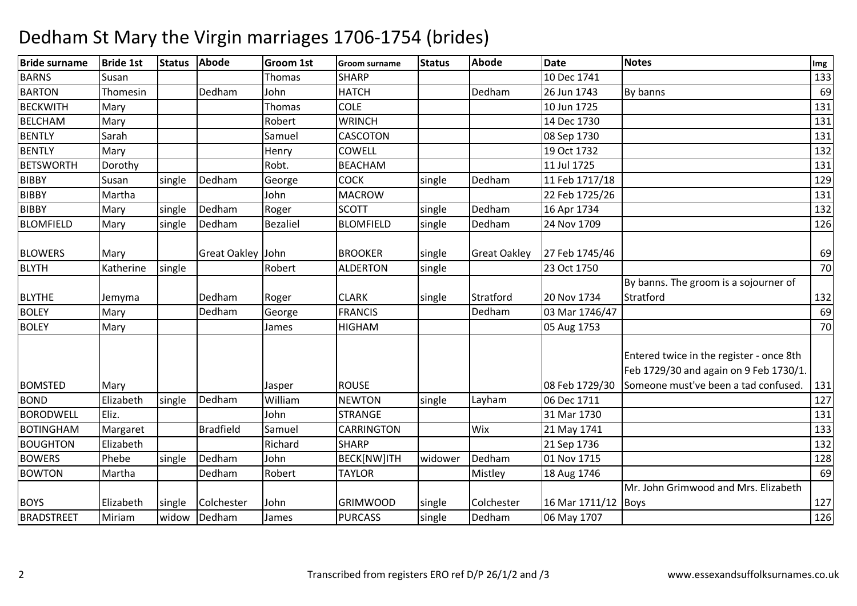| <b>Bride surname</b> | <b>Bride 1st</b> | <b>Status</b> | Abode             | <b>Groom 1st</b> | <b>Groom surname</b> | <b>Status</b> | Abode               | <b>Date</b>    | <b>Notes</b>                                                                                                               | Img |
|----------------------|------------------|---------------|-------------------|------------------|----------------------|---------------|---------------------|----------------|----------------------------------------------------------------------------------------------------------------------------|-----|
| <b>BARNS</b>         | Susan            |               |                   | <b>Thomas</b>    | <b>SHARP</b>         |               |                     | 10 Dec 1741    |                                                                                                                            | 133 |
| <b>BARTON</b>        | Thomesin         |               | Dedham            | John             | <b>HATCH</b>         |               | Dedham              | 26 Jun 1743    | By banns                                                                                                                   | 69  |
| <b>BECKWITH</b>      | Mary             |               |                   | Thomas           | <b>COLE</b>          |               |                     | 10 Jun 1725    |                                                                                                                            | 131 |
| <b>BELCHAM</b>       | Mary             |               |                   | Robert           | <b>WRINCH</b>        |               |                     | 14 Dec 1730    |                                                                                                                            | 131 |
| <b>BENTLY</b>        | Sarah            |               |                   | Samuel           | <b>CASCOTON</b>      |               |                     | 08 Sep 1730    |                                                                                                                            | 131 |
| <b>BENTLY</b>        | Mary             |               |                   | Henry            | <b>COWELL</b>        |               |                     | 19 Oct 1732    |                                                                                                                            | 132 |
| <b>BETSWORTH</b>     | Dorothy          |               |                   | Robt.            | <b>BEACHAM</b>       |               |                     | 11 Jul 1725    |                                                                                                                            | 131 |
| <b>BIBBY</b>         | Susan            | single        | Dedham            | George           | <b>COCK</b>          | single        | Dedham              | 11 Feb 1717/18 |                                                                                                                            | 129 |
| <b>BIBBY</b>         | Martha           |               |                   | John             | <b>MACROW</b>        |               |                     | 22 Feb 1725/26 |                                                                                                                            | 131 |
| <b>BIBBY</b>         | Mary             | single        | Dedham            | Roger            | <b>SCOTT</b>         | single        | Dedham              | 16 Apr 1734    |                                                                                                                            | 132 |
| <b>BLOMFIELD</b>     | Mary             | single        | Dedham            | <b>Bezaliel</b>  | <b>BLOMFIELD</b>     | single        | Dedham              | 24 Nov 1709    |                                                                                                                            | 126 |
| <b>BLOWERS</b>       | Mary             |               | Great Oakley John |                  | <b>BROOKER</b>       | single        | <b>Great Oakley</b> | 27 Feb 1745/46 |                                                                                                                            | 69  |
| <b>BLYTH</b>         | Katherine        | single        |                   | Robert           | <b>ALDERTON</b>      | single        |                     | 23 Oct 1750    |                                                                                                                            | 70  |
| <b>BLYTHE</b>        | Jemyma           |               | Dedham            | Roger            | <b>CLARK</b>         | single        | Stratford           | 20 Nov 1734    | By banns. The groom is a sojourner of<br>Stratford                                                                         | 132 |
| <b>BOLEY</b>         | Mary             |               | Dedham            | George           | <b>FRANCIS</b>       |               | Dedham              | 03 Mar 1746/47 |                                                                                                                            | 69  |
| <b>BOLEY</b>         | Mary             |               |                   | James            | <b>HIGHAM</b>        |               |                     | 05 Aug 1753    |                                                                                                                            | 70  |
| <b>BOMSTED</b>       | Mary             |               |                   | Jasper           | <b>ROUSE</b>         |               |                     | 08 Feb 1729/30 | Entered twice in the register - once 8th<br>Feb 1729/30 and again on 9 Feb 1730/1.<br>Someone must've been a tad confused. | 131 |
| <b>BOND</b>          | Elizabeth        | single        | Dedham            | William          | <b>NEWTON</b>        | single        | Layham              | 06 Dec 1711    |                                                                                                                            | 127 |
| <b>BORODWELL</b>     | Eliz.            |               |                   | John             | <b>STRANGE</b>       |               |                     | 31 Mar 1730    |                                                                                                                            | 131 |
| <b>BOTINGHAM</b>     | Margaret         |               | <b>Bradfield</b>  | Samuel           | <b>CARRINGTON</b>    |               | Wix                 | 21 May 1741    |                                                                                                                            | 133 |
| <b>BOUGHTON</b>      | Elizabeth        |               |                   | Richard          | <b>SHARP</b>         |               |                     | 21 Sep 1736    |                                                                                                                            | 132 |
| <b>BOWERS</b>        | Phebe            | single        | Dedham            | John             | BECK[NW]ITH          | widower       | Dedham              | 01 Nov 1715    |                                                                                                                            | 128 |
| <b>BOWTON</b>        | Martha           |               | Dedham            | Robert           | <b>TAYLOR</b>        |               | Mistley             | 18 Aug 1746    |                                                                                                                            | 69  |
|                      |                  |               |                   |                  |                      |               |                     |                | Mr. John Grimwood and Mrs. Elizabeth                                                                                       |     |
| <b>BOYS</b>          | Elizabeth        | single        | Colchester        | John             | <b>GRIMWOOD</b>      | single        | Colchester          | 16 Mar 1711/12 | <b>Boys</b>                                                                                                                | 127 |
| <b>BRADSTREET</b>    | Miriam           | widow         | Dedham            | James            | <b>PURCASS</b>       | single        | Dedham              | 06 May 1707    |                                                                                                                            | 126 |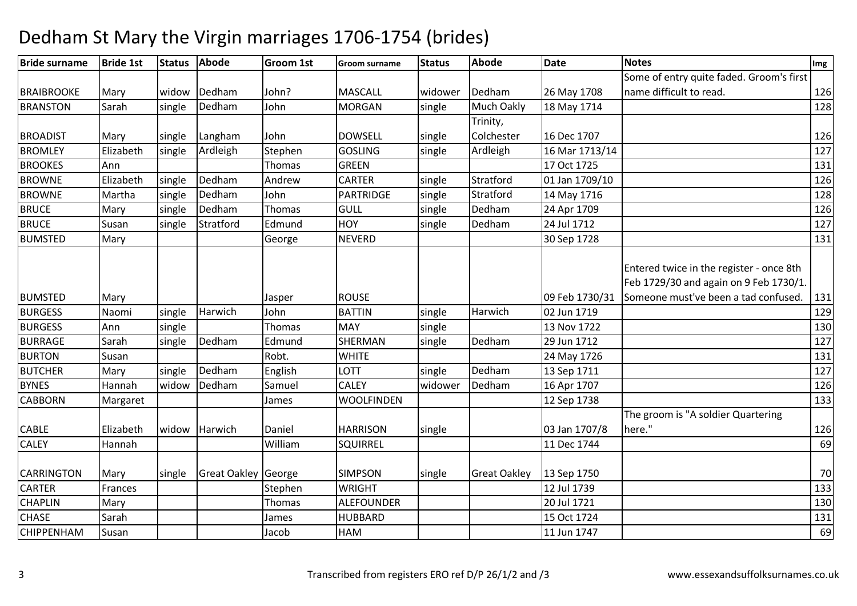| <b>Bride surname</b> | <b>Bride 1st</b> | <b>Status</b> | <b>Abode</b>        | <b>Groom 1st</b> | <b>Groom surname</b> | <b>Status</b> | <b>Abode</b>        | <b>Date</b>    | <b>Notes</b>                                                                                                               | Img |
|----------------------|------------------|---------------|---------------------|------------------|----------------------|---------------|---------------------|----------------|----------------------------------------------------------------------------------------------------------------------------|-----|
|                      |                  |               |                     |                  |                      |               |                     |                | Some of entry quite faded. Groom's first                                                                                   |     |
| <b>BRAIBROOKE</b>    | Mary             | widow         | Dedham              | John?            | <b>MASCALL</b>       | widower       | Dedham              | 26 May 1708    | name difficult to read.                                                                                                    | 126 |
| <b>BRANSTON</b>      | Sarah            | single        | Dedham              | John             | <b>MORGAN</b>        | single        | Much Oakly          | 18 May 1714    |                                                                                                                            | 128 |
|                      |                  |               |                     |                  |                      |               | Trinity,            |                |                                                                                                                            |     |
| <b>BROADIST</b>      | Mary             | single        | Langham             | John             | <b>DOWSELL</b>       | single        | Colchester          | 16 Dec 1707    |                                                                                                                            | 126 |
| <b>BROMLEY</b>       | Elizabeth        | single        | Ardleigh            | Stephen          | <b>GOSLING</b>       | single        | Ardleigh            | 16 Mar 1713/14 |                                                                                                                            | 127 |
| <b>BROOKES</b>       | Ann              |               |                     | Thomas           | <b>GREEN</b>         |               |                     | 17 Oct 1725    |                                                                                                                            | 131 |
| <b>BROWNE</b>        | Elizabeth        | single        | Dedham              | Andrew           | <b>CARTER</b>        | single        | Stratford           | 01 Jan 1709/10 |                                                                                                                            | 126 |
| <b>BROWNE</b>        | Martha           | single        | Dedham              | John             | PARTRIDGE            | single        | Stratford           | 14 May 1716    |                                                                                                                            | 128 |
| <b>BRUCE</b>         | Mary             | single        | Dedham              | Thomas           | <b>GULL</b>          | single        | Dedham              | 24 Apr 1709    |                                                                                                                            | 126 |
| <b>BRUCE</b>         | Susan            | single        | Stratford           | Edmund           | <b>HOY</b>           | single        | Dedham              | 24 Jul 1712    |                                                                                                                            | 127 |
| <b>BUMSTED</b>       | Mary             |               |                     | George           | <b>NEVERD</b>        |               |                     | 30 Sep 1728    |                                                                                                                            | 131 |
| <b>BUMSTED</b>       | Mary             |               |                     | Jasper           | <b>ROUSE</b>         |               |                     | 09 Feb 1730/31 | Entered twice in the register - once 8th<br>Feb 1729/30 and again on 9 Feb 1730/1.<br>Someone must've been a tad confused. | 131 |
| <b>BURGESS</b>       | Naomi            | single        | Harwich             | John             | <b>BATTIN</b>        | single        | Harwich             | 02 Jun 1719    |                                                                                                                            | 129 |
| <b>BURGESS</b>       | Ann              | single        |                     | Thomas           | <b>MAY</b>           | single        |                     | 13 Nov 1722    |                                                                                                                            | 130 |
| <b>BURRAGE</b>       | Sarah            | single        | Dedham              | Edmund           | SHERMAN              | single        | Dedham              | 29 Jun 1712    |                                                                                                                            | 127 |
| <b>BURTON</b>        | Susan            |               |                     | Robt.            | <b>WHITE</b>         |               |                     | 24 May 1726    |                                                                                                                            | 131 |
| <b>BUTCHER</b>       | Mary             | single        | Dedham              | English          | LOTT                 | single        | Dedham              | 13 Sep 1711    |                                                                                                                            | 127 |
| <b>BYNES</b>         | Hannah           | widow         | Dedham              | Samuel           | <b>CALEY</b>         | widower       | Dedham              | 16 Apr 1707    |                                                                                                                            | 126 |
| <b>CABBORN</b>       | Margaret         |               |                     | James            | <b>WOOLFINDEN</b>    |               |                     | 12 Sep 1738    |                                                                                                                            | 133 |
| <b>CABLE</b>         | Elizabeth        | widow         | Harwich             | Daniel           | <b>HARRISON</b>      | single        |                     | 03 Jan 1707/8  | The groom is "A soldier Quartering<br>here."                                                                               | 126 |
| <b>CALEY</b>         | Hannah           |               |                     | William          | <b>SQUIRREL</b>      |               |                     | 11 Dec 1744    |                                                                                                                            | 69  |
| CARRINGTON           | Mary             | single        | Great Oakley George |                  | <b>SIMPSON</b>       | single        | <b>Great Oakley</b> | 13 Sep 1750    |                                                                                                                            | 70  |
| <b>CARTER</b>        | Frances          |               |                     | Stephen          | <b>WRIGHT</b>        |               |                     | 12 Jul 1739    |                                                                                                                            | 133 |
| <b>CHAPLIN</b>       | Mary             |               |                     | Thomas           | <b>ALEFOUNDER</b>    |               |                     | 20 Jul 1721    |                                                                                                                            | 130 |
| <b>CHASE</b>         | Sarah            |               |                     | James            | <b>HUBBARD</b>       |               |                     | 15 Oct 1724    |                                                                                                                            | 131 |
| <b>CHIPPENHAM</b>    | Susan            |               |                     | Jacob            | <b>HAM</b>           |               |                     | 11 Jun 1747    |                                                                                                                            | 69  |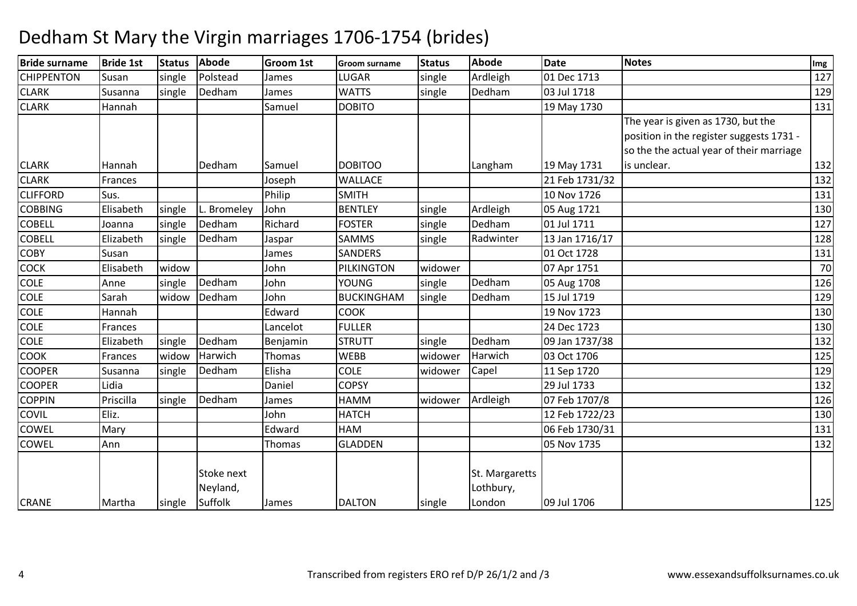| <b>Bride surname</b> | <b>Bride 1st</b> | <b>Status</b> | <b>Abode</b>           | <b>Groom 1st</b> | <b>Groom surname</b> | <b>Status</b> | <b>Abode</b>                | <b>Date</b>    | <b>Notes</b>                             | Img |
|----------------------|------------------|---------------|------------------------|------------------|----------------------|---------------|-----------------------------|----------------|------------------------------------------|-----|
| <b>CHIPPENTON</b>    | Susan            | single        | Polstead               | James            | <b>LUGAR</b>         | single        | Ardleigh                    | 01 Dec 1713    |                                          | 127 |
| <b>CLARK</b>         | Susanna          | single        | Dedham                 | James            | <b>WATTS</b>         | single        | Dedham                      | 03 Jul 1718    |                                          | 129 |
| <b>CLARK</b>         | Hannah           |               |                        | Samuel           | <b>DOBITO</b>        |               |                             | 19 May 1730    |                                          | 131 |
|                      |                  |               |                        |                  |                      |               |                             |                | The year is given as 1730, but the       |     |
|                      |                  |               |                        |                  |                      |               |                             |                | position in the register suggests 1731 - |     |
|                      |                  |               |                        |                  |                      |               |                             |                | so the the actual year of their marriage |     |
| <b>CLARK</b>         | Hannah           |               | Dedham                 | Samuel           | <b>DOBITOO</b>       |               | Langham                     | 19 May 1731    | is unclear.                              | 132 |
| <b>CLARK</b>         | Frances          |               |                        | Joseph           | <b>WALLACE</b>       |               |                             | 21 Feb 1731/32 |                                          | 132 |
| <b>CLIFFORD</b>      | Sus.             |               |                        | Philip           | <b>SMITH</b>         |               |                             | 10 Nov 1726    |                                          | 131 |
| <b>COBBING</b>       | Elisabeth        | single        | L. Bromeley            | John             | <b>BENTLEY</b>       | single        | Ardleigh                    | 05 Aug 1721    |                                          | 130 |
| <b>COBELL</b>        | Joanna           | single        | Dedham                 | Richard          | <b>FOSTER</b>        | single        | Dedham                      | 01 Jul 1711    |                                          | 127 |
| <b>COBELL</b>        | Elizabeth        | single        | Dedham                 | Jaspar           | <b>SAMMS</b>         | single        | Radwinter                   | 13 Jan 1716/17 |                                          | 128 |
| COBY                 | Susan            |               |                        | James            | <b>SANDERS</b>       |               |                             | 01 Oct 1728    |                                          | 131 |
| COCK                 | Elisabeth        | widow         |                        | John             | PILKINGTON           | widower       |                             | 07 Apr 1751    |                                          | 70  |
| <b>COLE</b>          | Anne             | single        | Dedham                 | John             | <b>YOUNG</b>         | single        | Dedham                      | 05 Aug 1708    |                                          | 126 |
| <b>COLE</b>          | Sarah            | widow         | Dedham                 | John             | <b>BUCKINGHAM</b>    | single        | Dedham                      | 15 Jul 1719    |                                          | 129 |
| <b>COLE</b>          | Hannah           |               |                        | Edward           | <b>COOK</b>          |               |                             | 19 Nov 1723    |                                          | 130 |
| <b>COLE</b>          | Frances          |               |                        | Lancelot         | <b>FULLER</b>        |               |                             | 24 Dec 1723    |                                          | 130 |
| <b>COLE</b>          | Elizabeth        | single        | Dedham                 | Benjamin         | <b>STRUTT</b>        | single        | Dedham                      | 09 Jan 1737/38 |                                          | 132 |
| <b>COOK</b>          | Frances          | widow         | Harwich                | Thomas           | <b>WEBB</b>          | widower       | Harwich                     | 03 Oct 1706    |                                          | 125 |
| <b>COOPER</b>        | Susanna          | single        | Dedham                 | Elisha           | <b>COLE</b>          | widower       | Capel                       | 11 Sep 1720    |                                          | 129 |
| <b>COOPER</b>        | Lidia            |               |                        | Daniel           | <b>COPSY</b>         |               |                             | 29 Jul 1733    |                                          | 132 |
| <b>COPPIN</b>        | Priscilla        | single        | Dedham                 | James            | <b>HAMM</b>          | widower       | Ardleigh                    | 07 Feb 1707/8  |                                          | 126 |
| COVIL                | Eliz.            |               |                        | John             | <b>HATCH</b>         |               |                             | 12 Feb 1722/23 |                                          | 130 |
| COWEL                | Mary             |               |                        | Edward           | HAM                  |               |                             | 06 Feb 1730/31 |                                          | 131 |
| COWEL                | Ann              |               |                        | Thomas           | <b>GLADDEN</b>       |               |                             | 05 Nov 1735    |                                          | 132 |
|                      |                  |               | Stoke next<br>Neyland, |                  |                      |               | St. Margaretts<br>Lothbury, |                |                                          |     |
| <b>CRANE</b>         | Martha           | single        | Suffolk                | James            | <b>DALTON</b>        | single        | London                      | 09 Jul 1706    |                                          | 125 |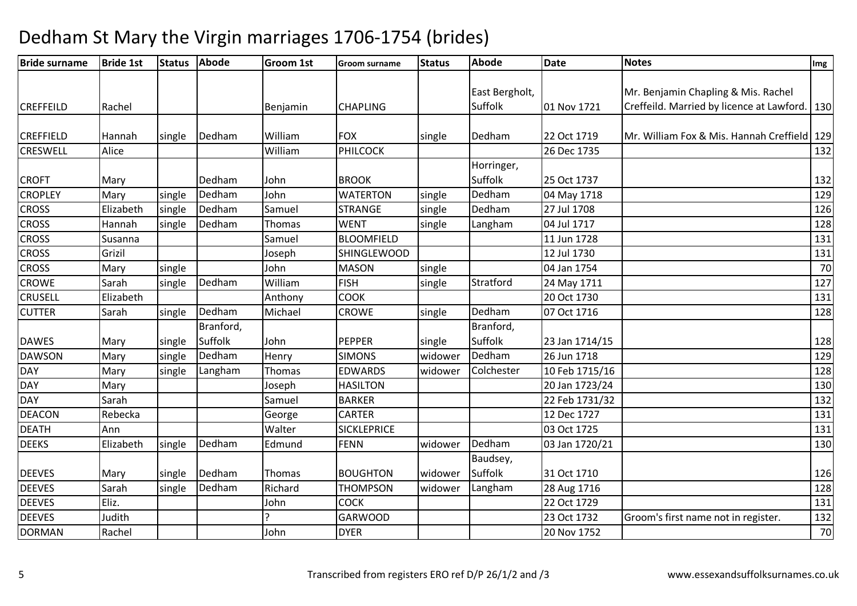| East Bergholt,<br>Mr. Benjamin Chapling & Mis. Rachel<br>Suffolk<br>Creffeild. Married by licence at Lawford.<br><b>CREFFEILD</b><br>Rachel<br><b>CHAPLING</b><br>01 Nov 1721<br>Benjamin | 130<br>Mr. William Fox & Mis. Hannah Creffield   129<br>132 |
|-------------------------------------------------------------------------------------------------------------------------------------------------------------------------------------------|-------------------------------------------------------------|
|                                                                                                                                                                                           |                                                             |
|                                                                                                                                                                                           |                                                             |
|                                                                                                                                                                                           |                                                             |
|                                                                                                                                                                                           |                                                             |
| William<br><b>CREFFIELD</b><br>Dedham<br><b>FOX</b><br>Dedham<br>22 Oct 1719<br>Hannah<br>single<br>single                                                                                |                                                             |
| PHILCOCK<br><b>CRESWELL</b><br>William<br>26 Dec 1735<br>Alice                                                                                                                            |                                                             |
| Horringer,                                                                                                                                                                                |                                                             |
| Suffolk<br><b>CROFT</b><br>Dedham<br><b>BROOK</b><br>25 Oct 1737<br>John<br>Mary                                                                                                          | 132                                                         |
| Dedham<br>Dedham<br><b>CROPLEY</b><br>single<br>John<br><b>WATERTON</b><br>Mary<br>single<br>04 May 1718                                                                                  | 129                                                         |
| <b>CROSS</b><br>Elizabeth<br>Dedham<br><b>STRANGE</b><br>Dedham<br>27 Jul 1708<br>single<br>Samuel<br>single                                                                              | 126                                                         |
| <b>CROSS</b><br>Dedham<br>04 Jul 1717<br><b>WENT</b><br>Langham<br>Hannah<br>single<br>Thomas<br>single                                                                                   | 128                                                         |
| <b>CROSS</b><br><b>BLOOMFIELD</b><br>11 Jun 1728<br>Susanna<br>Samuel                                                                                                                     | 131                                                         |
| <b>CROSS</b><br>Grizil<br><b>SHINGLEWOOD</b><br>12 Jul 1730<br>Joseph                                                                                                                     | 131                                                         |
| <b>CROSS</b><br><b>MASON</b><br>John<br>04 Jan 1754<br>Mary<br>single<br>single                                                                                                           | 70                                                          |
| <b>CROWE</b><br>Sarah<br>Dedham<br>Stratford<br>William<br><b>FISH</b><br>single<br>single<br>24 May 1711                                                                                 | 127                                                         |
| <b>CRUSELL</b><br><b>COOK</b><br>20 Oct 1730<br>Elizabeth<br>Anthony                                                                                                                      | 131                                                         |
| Dedham<br>Dedham<br><b>CUTTER</b><br>Michael<br>Sarah<br>single<br><b>CROWE</b><br>07 Oct 1716<br>single                                                                                  | 128                                                         |
| Branford,<br>Branford,                                                                                                                                                                    |                                                             |
| Suffolk<br>Suffolk<br><b>DAWES</b><br>John<br><b>PEPPER</b><br>23 Jan 1714/15<br>single<br>Mary<br>single                                                                                 | 128                                                         |
| <b>DAWSON</b><br><b>SIMONS</b><br>Dedham<br>26 Jun 1718<br>single<br>Dedham<br>Henry<br>widower<br>Mary                                                                                   | 129                                                         |
| <b>DAY</b><br>Langham<br><b>EDWARDS</b><br>Colchester<br>10 Feb 1715/16<br>Mary<br>single<br>Thomas<br>widower                                                                            | 128                                                         |
| <b>DAY</b><br><b>HASILTON</b><br>20 Jan 1723/24<br>Mary<br>Joseph                                                                                                                         | 130                                                         |
| <b>DAY</b><br>Sarah<br><b>BARKER</b><br>Samuel<br>22 Feb 1731/32                                                                                                                          | 132                                                         |
| <b>DEACON</b><br><b>CARTER</b><br>12 Dec 1727<br>Rebecka<br>George                                                                                                                        | 131                                                         |
| 03 Oct 1725<br><b>DEATH</b><br>Walter<br><b>SICKLEPRICE</b><br>Ann                                                                                                                        | 131                                                         |
| Dedham<br>Dedham<br><b>FENN</b><br><b>DEEKS</b><br>Elizabeth<br>Edmund<br>03 Jan 1720/21<br>single<br>widower                                                                             | 130                                                         |
| Baudsey,                                                                                                                                                                                  |                                                             |
| Dedham<br>Suffolk<br><b>DEEVES</b><br><b>BOUGHTON</b><br>31 Oct 1710<br>Thomas<br>widower<br>Mary<br>single                                                                               | 126                                                         |
| <b>DEEVES</b><br>Dedham<br>Richard<br>Sarah<br><b>THOMPSON</b><br>Langham<br>single<br>widower<br>28 Aug 1716                                                                             | 128                                                         |
| <b>COCK</b><br><b>DEEVES</b><br>Eliz.<br>22 Oct 1729<br>John                                                                                                                              | 131                                                         |
| <b>DEEVES</b><br><b>GARWOOD</b><br>Groom's first name not in register.<br>Judith<br>23 Oct 1732                                                                                           | 132                                                         |
| <b>DORMAN</b><br>Rachel<br>John<br><b>DYER</b><br>20 Nov 1752                                                                                                                             | 70                                                          |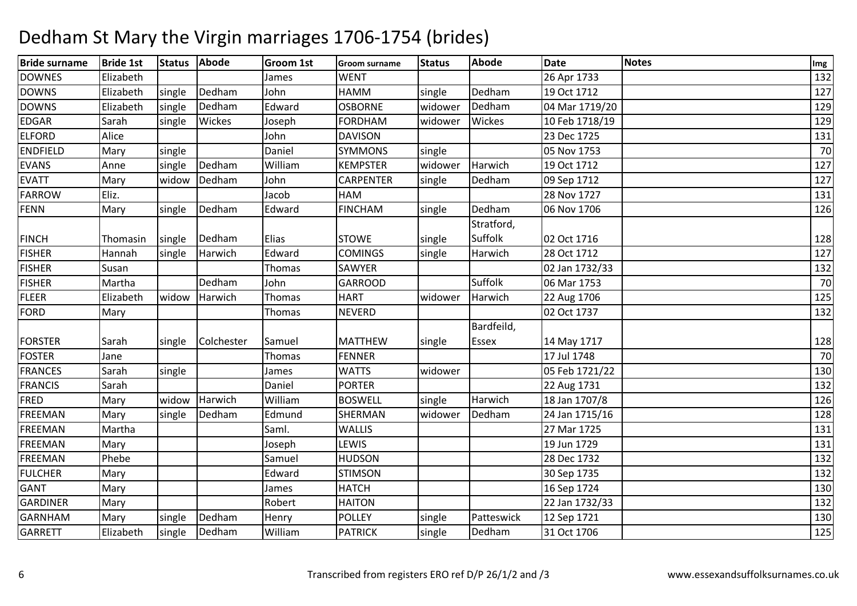| <b>Bride surname</b> | <b>Bride 1st</b> | <b>Status</b> | Abode      | <b>Groom 1st</b> | <b>Groom surname</b> | <b>Status</b> | <b>Abode</b> | <b>Date</b>    | <b>Notes</b> | Img |
|----------------------|------------------|---------------|------------|------------------|----------------------|---------------|--------------|----------------|--------------|-----|
| <b>DOWNES</b>        | Elizabeth        |               |            | James            | <b>WENT</b>          |               |              | 26 Apr 1733    |              | 132 |
| <b>DOWNS</b>         | Elizabeth        | single        | Dedham     | John             | <b>HAMM</b>          | single        | Dedham       | 19 Oct 1712    |              | 127 |
| <b>DOWNS</b>         | Elizabeth        | single        | Dedham     | Edward           | <b>OSBORNE</b>       | widower       | Dedham       | 04 Mar 1719/20 |              | 129 |
| <b>EDGAR</b>         | Sarah            | single        | Wickes     | Joseph           | <b>FORDHAM</b>       | widower       | Wickes       | 10 Feb 1718/19 |              | 129 |
| <b>ELFORD</b>        | Alice            |               |            | John             | <b>DAVISON</b>       |               |              | 23 Dec 1725    |              | 131 |
| <b>ENDFIELD</b>      | Mary             | single        |            | Daniel           | <b>SYMMONS</b>       | single        |              | 05 Nov 1753    |              | 70  |
| <b>EVANS</b>         | Anne             | single        | Dedham     | William          | <b>KEMPSTER</b>      | widower       | Harwich      | 19 Oct 1712    |              | 127 |
| <b>EVATT</b>         | Mary             | widow         | Dedham     | John             | CARPENTER            | single        | Dedham       | 09 Sep 1712    |              | 127 |
| <b>FARROW</b>        | Eliz.            |               |            | Jacob            | HAM                  |               |              | 28 Nov 1727    |              | 131 |
| FENN                 | Mary             | single        | Dedham     | Edward           | <b>FINCHAM</b>       | single        | Dedham       | 06 Nov 1706    |              | 126 |
|                      |                  |               |            |                  |                      |               | Stratford,   |                |              |     |
| <b>FINCH</b>         | Thomasin         | single        | Dedham     | Elias            | <b>STOWE</b>         | single        | Suffolk      | 02 Oct 1716    |              | 128 |
| <b>FISHER</b>        | Hannah           | single        | Harwich    | Edward           | <b>COMINGS</b>       | single        | Harwich      | 28 Oct 1712    |              | 127 |
| <b>FISHER</b>        | Susan            |               |            | Thomas           | <b>SAWYER</b>        |               |              | 02 Jan 1732/33 |              | 132 |
| <b>FISHER</b>        | Martha           |               | Dedham     | John             | <b>GARROOD</b>       |               | Suffolk      | 06 Mar 1753    |              | 70  |
| <b>FLEER</b>         | Elizabeth        | widow         | Harwich    | Thomas           | <b>HART</b>          | widower       | Harwich      | 22 Aug 1706    |              | 125 |
| <b>FORD</b>          | Mary             |               |            | Thomas           | <b>NEVERD</b>        |               |              | 02 Oct 1737    |              | 132 |
|                      |                  |               |            |                  |                      |               | Bardfeild,   |                |              |     |
| <b>FORSTER</b>       | Sarah            | single        | Colchester | Samuel           | <b>MATTHEW</b>       | single        | <b>Essex</b> | 14 May 1717    |              | 128 |
| <b>FOSTER</b>        | Jane             |               |            | <b>Thomas</b>    | <b>FENNER</b>        |               |              | 17 Jul 1748    |              | 70  |
| <b>FRANCES</b>       | Sarah            | single        |            | James            | <b>WATTS</b>         | widower       |              | 05 Feb 1721/22 |              | 130 |
| <b>FRANCIS</b>       | Sarah            |               |            | Daniel           | <b>PORTER</b>        |               |              | 22 Aug 1731    |              | 132 |
| FRED                 | Mary             | widow         | Harwich    | William          | <b>BOSWELL</b>       | single        | Harwich      | 18 Jan 1707/8  |              | 126 |
| <b>FREEMAN</b>       | Mary             | single        | Dedham     | Edmund           | SHERMAN              | widower       | Dedham       | 24 Jan 1715/16 |              | 128 |
| <b>FREEMAN</b>       | Martha           |               |            | Saml.            | <b>WALLIS</b>        |               |              | 27 Mar 1725    |              | 131 |
| <b>FREEMAN</b>       | Mary             |               |            | Joseph           | LEWIS                |               |              | 19 Jun 1729    |              | 131 |
| <b>FREEMAN</b>       | Phebe            |               |            | Samuel           | <b>HUDSON</b>        |               |              | 28 Dec 1732    |              | 132 |
| <b>FULCHER</b>       | Mary             |               |            | Edward           | <b>STIMSON</b>       |               |              | 30 Sep 1735    |              | 132 |
| <b>GANT</b>          | Mary             |               |            | James            | <b>HATCH</b>         |               |              | 16 Sep 1724    |              | 130 |
| <b>GARDINER</b>      | Mary             |               |            | Robert           | <b>HAITON</b>        |               |              | 22 Jan 1732/33 |              | 132 |
| <b>GARNHAM</b>       | Mary             | single        | Dedham     | Henry            | <b>POLLEY</b>        | single        | Patteswick   | 12 Sep 1721    |              | 130 |
| <b>GARRETT</b>       | Elizabeth        | single        | Dedham     | William          | <b>PATRICK</b>       | single        | Dedham       | 31 Oct 1706    |              | 125 |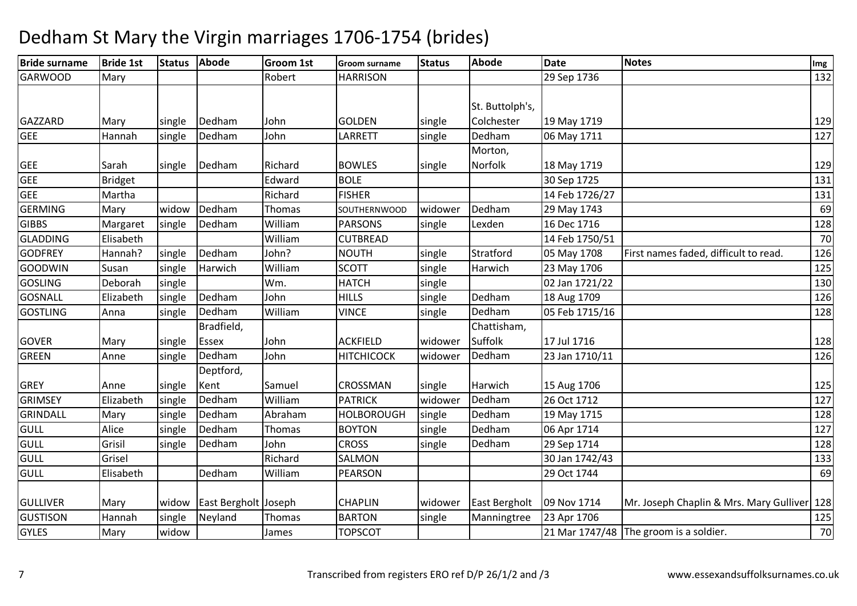| <b>Bride surname</b> | <b>Bride 1st</b> | <b>Status</b> | <b>Abode</b>         | <b>Groom 1st</b> | <b>Groom surname</b> | <b>Status</b> | <b>Abode</b>    | <b>Date</b>    | <b>Notes</b>                                | Img |
|----------------------|------------------|---------------|----------------------|------------------|----------------------|---------------|-----------------|----------------|---------------------------------------------|-----|
| <b>GARWOOD</b>       | Mary             |               |                      | Robert           | <b>HARRISON</b>      |               |                 | 29 Sep 1736    |                                             | 132 |
|                      |                  |               |                      |                  |                      |               |                 |                |                                             |     |
|                      |                  |               |                      |                  |                      |               | St. Buttolph's, |                |                                             |     |
| GAZZARD              | Mary             | single        | Dedham               | John             | <b>GOLDEN</b>        | single        | Colchester      | 19 May 1719    |                                             | 129 |
| <b>GEE</b>           | Hannah           | single        | Dedham               | John             | LARRETT              | single        | Dedham          | 06 May 1711    |                                             | 127 |
|                      |                  |               |                      |                  |                      |               | Morton,         |                |                                             |     |
| <b>GEE</b>           | Sarah            | single        | Dedham               | Richard          | <b>BOWLES</b>        | single        | Norfolk         | 18 May 1719    |                                             | 129 |
| <b>GEE</b>           | <b>Bridget</b>   |               |                      | Edward           | <b>BOLE</b>          |               |                 | 30 Sep 1725    |                                             | 131 |
| <b>GEE</b>           | Martha           |               |                      | Richard          | <b>FISHER</b>        |               |                 | 14 Feb 1726/27 |                                             | 131 |
| <b>GERMING</b>       | Mary             | widow         | Dedham               | Thomas           | SOUTHERNWOOD         | widower       | Dedham          | 29 May 1743    |                                             | 69  |
| <b>GIBBS</b>         | Margaret         | single        | Dedham               | William          | <b>PARSONS</b>       | single        | Lexden          | 16 Dec 1716    |                                             | 128 |
| <b>GLADDING</b>      | Elisabeth        |               |                      | William          | <b>CUTBREAD</b>      |               |                 | 14 Feb 1750/51 |                                             | 70  |
| <b>GODFREY</b>       | Hannah?          | single        | Dedham               | John?            | <b>NOUTH</b>         | single        | Stratford       | 05 May 1708    | First names faded, difficult to read.       | 126 |
| <b>GOODWIN</b>       | Susan            | single        | Harwich              | William          | <b>SCOTT</b>         | single        | Harwich         | 23 May 1706    |                                             | 125 |
| <b>GOSLING</b>       | Deborah          | single        |                      | Wm.              | <b>HATCH</b>         | single        |                 | 02 Jan 1721/22 |                                             | 130 |
| <b>GOSNALL</b>       | Elizabeth        | single        | Dedham               | John             | <b>HILLS</b>         | single        | Dedham          | 18 Aug 1709    |                                             | 126 |
| <b>GOSTLING</b>      | Anna             | single        | Dedham               | William          | <b>VINCE</b>         | single        | Dedham          | 05 Feb 1715/16 |                                             | 128 |
|                      |                  |               | Bradfield,           |                  |                      |               | Chattisham,     |                |                                             |     |
| <b>GOVER</b>         | Mary             | single        | <b>Essex</b>         | John             | <b>ACKFIELD</b>      | widower       | Suffolk         | 17 Jul 1716    |                                             | 128 |
| GREEN                | Anne             | single        | Dedham               | John             | <b>HITCHICOCK</b>    | widower       | Dedham          | 23 Jan 1710/11 |                                             | 126 |
|                      |                  |               | Deptford,            |                  |                      |               |                 |                |                                             |     |
| <b>GREY</b>          | Anne             | single        | Kent                 | Samuel           | CROSSMAN             | single        | Harwich         | 15 Aug 1706    |                                             | 125 |
| <b>GRIMSEY</b>       | Elizabeth        | single        | Dedham               | William          | <b>PATRICK</b>       | widower       | Dedham          | 26 Oct 1712    |                                             | 127 |
| <b>GRINDALL</b>      | Mary             | single        | Dedham               | Abraham          | <b>HOLBOROUGH</b>    | single        | Dedham          | 19 May 1715    |                                             | 128 |
| <b>GULL</b>          | Alice            | single        | Dedham               | Thomas           | <b>BOYTON</b>        | single        | Dedham          | 06 Apr 1714    |                                             | 127 |
| GULL                 | Grisil           | single        | Dedham               | John             | <b>CROSS</b>         | single        | Dedham          | 29 Sep 1714    |                                             | 128 |
| <b>GULL</b>          | Grisel           |               |                      | Richard          | <b>SALMON</b>        |               |                 | 30 Jan 1742/43 |                                             | 133 |
| <b>GULL</b>          | Elisabeth        |               | Dedham               | William          | <b>PEARSON</b>       |               |                 | 29 Oct 1744    |                                             | 69  |
| <b>GULLIVER</b>      | Mary             | widow         | East Bergholt Joseph |                  | <b>CHAPLIN</b>       | widower       | East Bergholt   | 09 Nov 1714    | Mr. Joseph Chaplin & Mrs. Mary Gulliver 128 |     |
| <b>GUSTISON</b>      | Hannah           | single        | Neyland              | Thomas           | <b>BARTON</b>        | single        | Manningtree     | 23 Apr 1706    |                                             | 125 |
| <b>GYLES</b>         | Mary             | widow         |                      | James            | <b>TOPSCOT</b>       |               |                 |                | 21 Mar 1747/48 The groom is a soldier.      | 70  |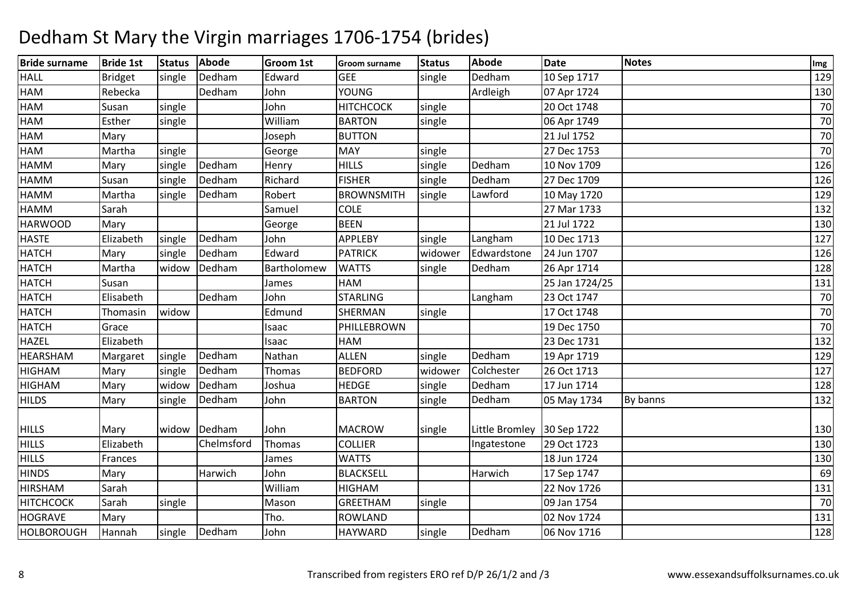| <b>Bride surname</b> | <b>Bride 1st</b> | <b>Status</b> | <b>Abode</b> | <b>Groom 1st</b> | <b>Groom surname</b> | <b>Status</b> | <b>Abode</b>               | <b>Date</b>    | <b>Notes</b> | Img |
|----------------------|------------------|---------------|--------------|------------------|----------------------|---------------|----------------------------|----------------|--------------|-----|
| <b>HALL</b>          | <b>Bridget</b>   | single        | Dedham       | Edward           | <b>GEE</b>           | single        | Dedham                     | 10 Sep 1717    |              | 129 |
| HAM                  | Rebecka          |               | Dedham       | John             | <b>YOUNG</b>         |               | Ardleigh                   | 07 Apr 1724    |              | 130 |
| HAM                  | Susan            | single        |              | John             | <b>НІТСНСОСК</b>     | single        |                            | 20 Oct 1748    |              | 70  |
| <b>HAM</b>           | Esther           | single        |              | William          | <b>BARTON</b>        | single        |                            | 06 Apr 1749    |              | 70  |
| HAM                  | Mary             |               |              | Joseph           | <b>BUTTON</b>        |               |                            | 21 Jul 1752    |              | 70  |
| HAM                  | Martha           | single        |              | George           | <b>MAY</b>           | single        |                            | 27 Dec 1753    |              | 70  |
| <b>HAMM</b>          | Mary             | single        | Dedham       | Henry            | <b>HILLS</b>         | single        | Dedham                     | 10 Nov 1709    |              | 126 |
| <b>HAMM</b>          | Susan            | single        | Dedham       | Richard          | <b>FISHER</b>        | single        | Dedham                     | 27 Dec 1709    |              | 126 |
| <b>HAMM</b>          | Martha           | single        | Dedham       | Robert           | <b>BROWNSMITH</b>    | single        | Lawford                    | 10 May 1720    |              | 129 |
| <b>HAMM</b>          | Sarah            |               |              | Samuel           | <b>COLE</b>          |               |                            | 27 Mar 1733    |              | 132 |
| <b>HARWOOD</b>       | Mary             |               |              | George           | <b>BEEN</b>          |               |                            | 21 Jul 1722    |              | 130 |
| <b>HASTE</b>         | Elizabeth        | single        | Dedham       | John             | APPLEBY              | single        | Langham                    | 10 Dec 1713    |              | 127 |
| <b>HATCH</b>         | Mary             | single        | Dedham       | Edward           | <b>PATRICK</b>       | widower       | Edwardstone                | 24 Jun 1707    |              | 126 |
| <b>HATCH</b>         | Martha           | widow         | Dedham       | Bartholomew      | <b>WATTS</b>         | single        | Dedham                     | 26 Apr 1714    |              | 128 |
| <b>HATCH</b>         | Susan            |               |              | James            | HAM                  |               |                            | 25 Jan 1724/25 |              | 131 |
| <b>HATCH</b>         | Elisabeth        |               | Dedham       | John             | <b>STARLING</b>      |               | Langham                    | 23 Oct 1747    |              | 70  |
| <b>HATCH</b>         | Thomasin         | widow         |              | Edmund           | SHERMAN              | single        |                            | 17 Oct 1748    |              | 70  |
| <b>HATCH</b>         | Grace            |               |              | Isaac            | PHILLEBROWN          |               |                            | 19 Dec 1750    |              | 70  |
| <b>HAZEL</b>         | Elizabeth        |               |              | Isaac            | HAM                  |               |                            | 23 Dec 1731    |              | 132 |
| <b>HEARSHAM</b>      | Margaret         | single        | Dedham       | Nathan           | <b>ALLEN</b>         | single        | Dedham                     | 19 Apr 1719    |              | 129 |
| <b>HIGHAM</b>        | Mary             | single        | Dedham       | Thomas           | <b>BEDFORD</b>       | widower       | Colchester                 | 26 Oct 1713    |              | 127 |
| <b>HIGHAM</b>        | Mary             | widow         | Dedham       | Joshua           | <b>HEDGE</b>         | single        | Dedham                     | 17 Jun 1714    |              | 128 |
| <b>HILDS</b>         | Mary             | single        | Dedham       | John             | <b>BARTON</b>        | single        | Dedham                     | 05 May 1734    | By banns     | 132 |
|                      |                  |               |              |                  |                      |               |                            |                |              |     |
| <b>HILLS</b>         | Mary             | widow         | Dedham       | John             | <b>MACROW</b>        | single        | Little Bromley 30 Sep 1722 |                |              | 130 |
| <b>HILLS</b>         | Elizabeth        |               | Chelmsford   | Thomas           | <b>COLLIER</b>       |               | Ingatestone                | 29 Oct 1723    |              | 130 |
| <b>HILLS</b>         | Frances          |               |              | James            | <b>WATTS</b>         |               |                            | 18 Jun 1724    |              | 130 |
| <b>HINDS</b>         | Mary             |               | Harwich      | John             | <b>BLACKSELL</b>     |               | Harwich                    | 17 Sep 1747    |              | 69  |
| <b>HIRSHAM</b>       | Sarah            |               |              | William          | <b>HIGHAM</b>        |               |                            | 22 Nov 1726    |              | 131 |
| <b>HITCHCOCK</b>     | Sarah            | single        |              | Mason            | <b>GREETHAM</b>      | single        |                            | 09 Jan 1754    |              | 70  |
| <b>HOGRAVE</b>       | Mary             |               |              | Tho.             | <b>ROWLAND</b>       |               |                            | 02 Nov 1724    |              | 131 |
| <b>HOLBOROUGH</b>    | Hannah           | single        | Dedham       | John             | <b>HAYWARD</b>       | single        | Dedham                     | 06 Nov 1716    |              | 128 |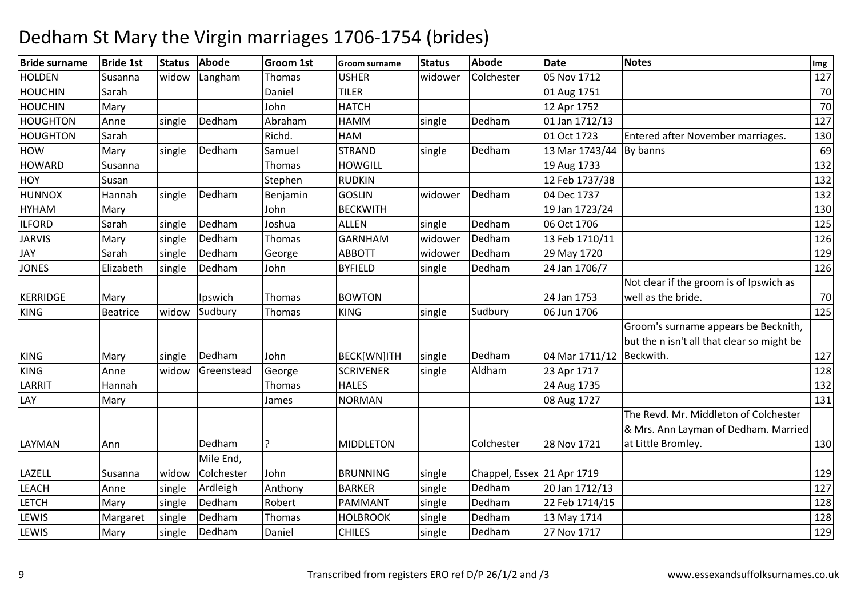| <b>Bride surname</b> | <b>Bride 1st</b> | <b>Status</b> | <b>Abode</b>        | <b>Groom 1st</b> | <b>Groom surname</b> | <b>Status</b> | <b>Abode</b>               | <b>Date</b>              | <b>Notes</b>                                                                                        | Img |
|----------------------|------------------|---------------|---------------------|------------------|----------------------|---------------|----------------------------|--------------------------|-----------------------------------------------------------------------------------------------------|-----|
| <b>HOLDEN</b>        | Susanna          | widow         | Langham             | <b>Thomas</b>    | <b>USHER</b>         | widower       | Colchester                 | 05 Nov 1712              |                                                                                                     | 127 |
| <b>HOUCHIN</b>       | Sarah            |               |                     | Daniel           | <b>TILER</b>         |               |                            | 01 Aug 1751              |                                                                                                     | 70  |
| <b>HOUCHIN</b>       | Mary             |               |                     | John             | <b>HATCH</b>         |               |                            | 12 Apr 1752              |                                                                                                     | 70  |
| <b>HOUGHTON</b>      | Anne             | single        | Dedham              | Abraham          | <b>HAMM</b>          | single        | Dedham                     | 01 Jan 1712/13           |                                                                                                     | 127 |
| HOUGHTON             | Sarah            |               |                     | Richd.           | HAM                  |               |                            | 01 Oct 1723              | Entered after November marriages.                                                                   | 130 |
| <b>HOW</b>           | Mary             | single        | Dedham              | Samuel           | <b>STRAND</b>        | single        | Dedham                     | 13 Mar 1743/44 By banns  |                                                                                                     | 69  |
| <b>HOWARD</b>        | Susanna          |               |                     | Thomas           | <b>HOWGILL</b>       |               |                            | 19 Aug 1733              |                                                                                                     | 132 |
| <b>HOY</b>           | Susan            |               |                     | Stephen          | <b>RUDKIN</b>        |               |                            | 12 Feb 1737/38           |                                                                                                     | 132 |
| <b>HUNNOX</b>        | Hannah           | single        | Dedham              | Benjamin         | <b>GOSLIN</b>        | widower       | Dedham                     | 04 Dec 1737              |                                                                                                     | 132 |
| <b>HYHAM</b>         | Mary             |               |                     | John             | <b>BECKWITH</b>      |               |                            | 19 Jan 1723/24           |                                                                                                     | 130 |
| <b>ILFORD</b>        | Sarah            | single        | Dedham              | Joshua           | <b>ALLEN</b>         | single        | Dedham                     | 06 Oct 1706              |                                                                                                     | 125 |
| <b>JARVIS</b>        | Mary             | single        | Dedham              | <b>Thomas</b>    | <b>GARNHAM</b>       | widower       | Dedham                     | 13 Feb 1710/11           |                                                                                                     | 126 |
| <b>JAY</b>           | Sarah            | single        | Dedham              | George           | <b>ABBOTT</b>        | widower       | Dedham                     | 29 May 1720              |                                                                                                     | 129 |
| <b>JONES</b>         | Elizabeth        | single        | Dedham              | John             | <b>BYFIELD</b>       | single        | Dedham                     | 24 Jan 1706/7            |                                                                                                     | 126 |
| <b>KERRIDGE</b>      | Mary             |               | Ipswich             | Thomas           | <b>BOWTON</b>        |               |                            | 24 Jan 1753              | Not clear if the groom is of Ipswich as<br>well as the bride.                                       | 70  |
| <b>KING</b>          | <b>Beatrice</b>  | widow         | Sudbury             | Thomas           | <b>KING</b>          | single        | Sudbury                    | 06 Jun 1706              |                                                                                                     | 125 |
| <b>KING</b>          | Mary             | single        | Dedham              | John             | BECK[WN]ITH          | single        | Dedham                     | 04 Mar 1711/12 Beckwith. | Groom's surname appears be Becknith,<br>but the n isn't all that clear so might be                  | 127 |
| <b>KING</b>          | Anne             | widow         | Greenstead          | George           | <b>SCRIVENER</b>     | single        | Aldham                     | 23 Apr 1717              |                                                                                                     | 128 |
| LARRIT               | Hannah           |               |                     | <b>Thomas</b>    | <b>HALES</b>         |               |                            | 24 Aug 1735              |                                                                                                     | 132 |
| LAY                  | Mary             |               |                     | James            | <b>NORMAN</b>        |               |                            | 08 Aug 1727              |                                                                                                     | 131 |
| LAYMAN               | Ann              |               | Dedham<br>Mile End, | P                | <b>MIDDLETON</b>     |               | Colchester                 | 28 Nov 1721              | The Revd. Mr. Middleton of Colchester<br>& Mrs. Ann Layman of Dedham. Married<br>at Little Bromley. | 130 |
| LAZELL               | Susanna          | widow         | Colchester          | John             | <b>BRUNNING</b>      | single        | Chappel, Essex 21 Apr 1719 |                          |                                                                                                     | 129 |
| <b>LEACH</b>         | Anne             | single        | Ardleigh            | Anthony          | <b>BARKER</b>        | single        | Dedham                     | 20 Jan 1712/13           |                                                                                                     | 127 |
| <b>LETCH</b>         | Mary             | single        | Dedham              | Robert           | PAMMANT              | single        | Dedham                     | 22 Feb 1714/15           |                                                                                                     | 128 |
| <b>LEWIS</b>         | Margaret         | single        | Dedham              | Thomas           | <b>HOLBROOK</b>      | single        | Dedham                     | 13 May 1714              |                                                                                                     | 128 |
| LEWIS                | Mary             | single        | Dedham              | Daniel           | <b>CHILES</b>        | single        | Dedham                     | 27 Nov 1717              |                                                                                                     | 129 |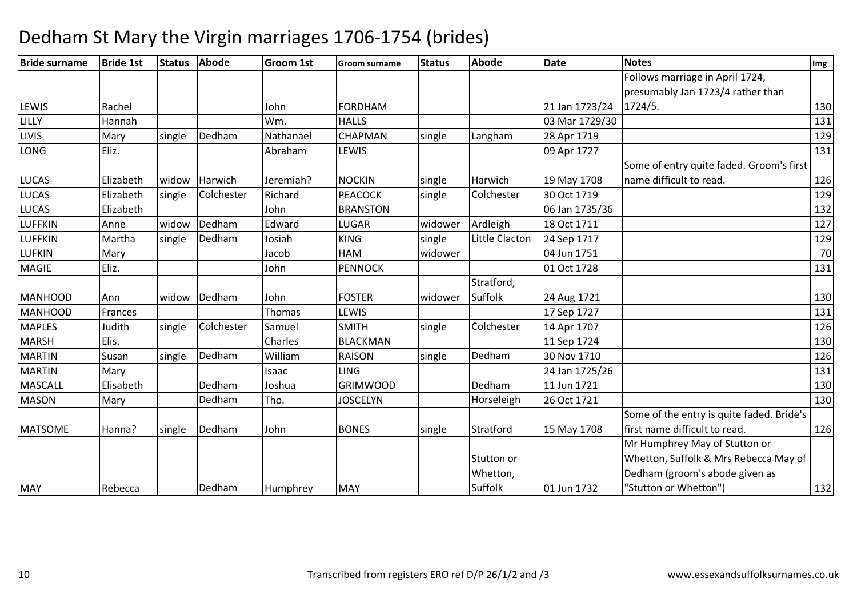| <b>Bride surname</b> | <b>Bride 1st</b> | <b>Status</b> | Abode         | <b>Groom 1st</b> | <b>Groom surname</b> | <b>Status</b> | Abode          | <b>Date</b>    | <b>Notes</b>                              | Img |
|----------------------|------------------|---------------|---------------|------------------|----------------------|---------------|----------------|----------------|-------------------------------------------|-----|
|                      |                  |               |               |                  |                      |               |                |                | Follows marriage in April 1724,           |     |
|                      |                  |               |               |                  |                      |               |                |                | presumably Jan 1723/4 rather than         |     |
| LEWIS                | Rachel           |               |               | John             | <b>FORDHAM</b>       |               |                | 21 Jan 1723/24 | 1724/5.                                   | 130 |
| LILLY                | Hannah           |               |               | Wm.              | <b>HALLS</b>         |               |                | 03 Mar 1729/30 |                                           | 131 |
| <b>LIVIS</b>         | Mary             | single        | Dedham        | Nathanael        | <b>CHAPMAN</b>       | single        | Langham        | 28 Apr 1719    |                                           | 129 |
| <b>LONG</b>          | Eliz.            |               |               | Abraham          | LEWIS                |               |                | 09 Apr 1727    |                                           | 131 |
|                      |                  |               |               |                  |                      |               |                |                | Some of entry quite faded. Groom's first  |     |
| <b>LUCAS</b>         | Elizabeth        |               | widow Harwich | Jeremiah?        | <b>NOCKIN</b>        | single        | Harwich        | 19 May 1708    | name difficult to read.                   | 126 |
| <b>LUCAS</b>         | Elizabeth        | single        | Colchester    | Richard          | <b>PEACOCK</b>       | single        | Colchester     | 30 Oct 1719    |                                           | 129 |
| <b>LUCAS</b>         | Elizabeth        |               |               | John             | <b>BRANSTON</b>      |               |                | 06 Jan 1735/36 |                                           | 132 |
| <b>LUFFKIN</b>       | Anne             | widow         | Dedham        | Edward           | LUGAR                | widower       | Ardleigh       | 18 Oct 1711    |                                           | 127 |
| <b>LUFFKIN</b>       | Martha           | single        | Dedham        | Josiah           | <b>KING</b>          | single        | Little Clacton | 24 Sep 1717    |                                           | 129 |
| <b>LUFKIN</b>        | Mary             |               |               | Jacob            | HAM                  | widower       |                | 04 Jun 1751    |                                           | 70  |
| <b>MAGIE</b>         | Eliz.            |               |               | John             | <b>PENNOCK</b>       |               |                | 01 Oct 1728    |                                           | 131 |
|                      |                  |               |               |                  |                      |               | Stratford,     |                |                                           |     |
| <b>MANHOOD</b>       | Ann              | widow         | Dedham        | John             | <b>FOSTER</b>        | widower       | Suffolk        | 24 Aug 1721    |                                           | 130 |
| <b>MANHOOD</b>       | Frances          |               |               | Thomas           | LEWIS                |               |                | 17 Sep 1727    |                                           | 131 |
| <b>MAPLES</b>        | Judith           | single        | Colchester    | Samuel           | <b>SMITH</b>         | single        | Colchester     | 14 Apr 1707    |                                           | 126 |
| <b>MARSH</b>         | Elis.            |               |               | Charles          | <b>BLACKMAN</b>      |               |                | 11 Sep 1724    |                                           | 130 |
| <b>MARTIN</b>        | Susan            | single        | Dedham        | William          | <b>RAISON</b>        | single        | Dedham         | 30 Nov 1710    |                                           | 126 |
| <b>MARTIN</b>        | Mary             |               |               | Isaac            | <b>LING</b>          |               |                | 24 Jan 1725/26 |                                           | 131 |
| <b>MASCALL</b>       | Elisabeth        |               | Dedham        | Joshua           | <b>GRIMWOOD</b>      |               | Dedham         | 11 Jun 1721    |                                           | 130 |
| <b>MASON</b>         | Mary             |               | Dedham        | Tho.             | <b>JOSCELYN</b>      |               | Horseleigh     | 26 Oct 1721    |                                           | 130 |
|                      |                  |               |               |                  |                      |               |                |                | Some of the entry is quite faded. Bride's |     |
| <b>MATSOME</b>       | Hanna?           | single        | Dedham        | John             | <b>BONES</b>         | single        | Stratford      | 15 May 1708    | first name difficult to read.             | 126 |
|                      |                  |               |               |                  |                      |               |                |                | Mr Humphrey May of Stutton or             |     |
|                      |                  |               |               |                  |                      |               | Stutton or     |                | Whetton, Suffolk & Mrs Rebecca May of     |     |
|                      |                  |               |               |                  |                      |               | Whetton,       |                | Dedham (groom's abode given as            |     |
| <b>MAY</b>           | Rebecca          |               | Dedham        | Humphrey         | <b>MAY</b>           |               | Suffolk        | 01 Jun 1732    | "Stutton or Whetton")                     | 132 |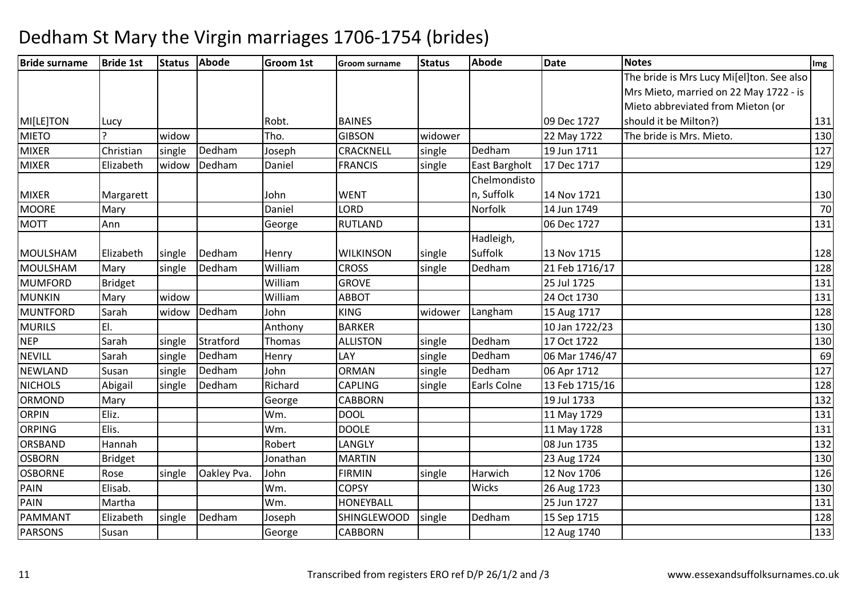| <b>Bride surname</b> | <b>Bride 1st</b> | <b>Status</b> | <b>Abode</b> | <b>Groom 1st</b> | <b>Groom surname</b> | <b>Status</b> | Abode                | <b>Date</b>    | <b>Notes</b>                              | Img |
|----------------------|------------------|---------------|--------------|------------------|----------------------|---------------|----------------------|----------------|-------------------------------------------|-----|
|                      |                  |               |              |                  |                      |               |                      |                | The bride is Mrs Lucy Mi[el]ton. See also |     |
|                      |                  |               |              |                  |                      |               |                      |                | Mrs Mieto, married on 22 May 1722 - is    |     |
|                      |                  |               |              |                  |                      |               |                      |                | Mieto abbreviated from Mieton (or         |     |
| MI[LE]TON            | Lucy             |               |              | Robt.            | <b>BAINES</b>        |               |                      | 09 Dec 1727    | should it be Milton?)                     | 131 |
| <b>MIETO</b>         |                  | widow         |              | Tho.             | <b>GIBSON</b>        | widower       |                      | 22 May 1722    | The bride is Mrs. Mieto.                  | 130 |
| <b>MIXER</b>         | Christian        | single        | Dedham       | Joseph           | CRACKNELL            | single        | Dedham               | 19 Jun 1711    |                                           | 127 |
| <b>MIXER</b>         | Elizabeth        | widow         | Dedham       | Daniel           | <b>FRANCIS</b>       | single        | <b>East Bargholt</b> | 17 Dec 1717    |                                           | 129 |
|                      |                  |               |              |                  |                      |               | Chelmondisto         |                |                                           |     |
| <b>MIXER</b>         | Margarett        |               |              | John             | <b>WENT</b>          |               | n, Suffolk           | 14 Nov 1721    |                                           | 130 |
| <b>MOORE</b>         | Mary             |               |              | Daniel           | LORD                 |               | Norfolk              | 14 Jun 1749    |                                           | 70  |
| <b>MOTT</b>          | Ann              |               |              | George           | <b>RUTLAND</b>       |               |                      | 06 Dec 1727    |                                           | 131 |
|                      |                  |               |              |                  |                      |               | Hadleigh,            |                |                                           |     |
| MOULSHAM             | Elizabeth        | single        | Dedham       | Henry            | <b>WILKINSON</b>     | single        | Suffolk              | 13 Nov 1715    |                                           | 128 |
| MOULSHAM             | Mary             | single        | Dedham       | William          | <b>CROSS</b>         | single        | Dedham               | 21 Feb 1716/17 |                                           | 128 |
| <b>MUMFORD</b>       | <b>Bridget</b>   |               |              | William          | <b>GROVE</b>         |               |                      | 25 Jul 1725    |                                           | 131 |
| <b>MUNKIN</b>        | Mary             | widow         |              | William          | <b>ABBOT</b>         |               |                      | 24 Oct 1730    |                                           | 131 |
| <b>MUNTFORD</b>      | Sarah            | widow         | Dedham       | John             | <b>KING</b>          | widower       | Langham              | 15 Aug 1717    |                                           | 128 |
| <b>MURILS</b>        | EI.              |               |              | Anthony          | <b>BARKER</b>        |               |                      | 10 Jan 1722/23 |                                           | 130 |
| <b>NEP</b>           | Sarah            | single        | Stratford    | Thomas           | <b>ALLISTON</b>      | single        | Dedham               | 17 Oct 1722    |                                           | 130 |
| <b>NEVILL</b>        | Sarah            | single        | Dedham       | Henry            | LAY                  | single        | Dedham               | 06 Mar 1746/47 |                                           | 69  |
| <b>NEWLAND</b>       | Susan            | single        | Dedham       | John             | <b>ORMAN</b>         | single        | Dedham               | 06 Apr 1712    |                                           | 127 |
| <b>NICHOLS</b>       | Abigail          | single        | Dedham       | Richard          | <b>CAPLING</b>       | single        | Earls Colne          | 13 Feb 1715/16 |                                           | 128 |
| ORMOND               | Mary             |               |              | George           | <b>CABBORN</b>       |               |                      | 19 Jul 1733    |                                           | 132 |
| <b>ORPIN</b>         | Eliz.            |               |              | Wm.              | <b>DOOL</b>          |               |                      | 11 May 1729    |                                           | 131 |
| <b>ORPING</b>        | Elis.            |               |              | Wm.              | <b>DOOLE</b>         |               |                      | 11 May 1728    |                                           | 131 |
| ORSBAND              | Hannah           |               |              | Robert           | LANGLY               |               |                      | 08 Jun 1735    |                                           | 132 |
| <b>OSBORN</b>        | <b>Bridget</b>   |               |              | Jonathan         | <b>MARTIN</b>        |               |                      | 23 Aug 1724    |                                           | 130 |
| <b>OSBORNE</b>       | Rose             | single        | Oakley Pva.  | John             | <b>FIRMIN</b>        | single        | Harwich              | 12 Nov 1706    |                                           | 126 |
| PAIN                 | Elisab.          |               |              | Wm.              | <b>COPSY</b>         |               | Wicks                | 26 Aug 1723    |                                           | 130 |
| <b>PAIN</b>          | Martha           |               |              | Wm.              | HONEYBALL            |               |                      | 25 Jun 1727    |                                           | 131 |
| PAMMANT              | Elizabeth        | single        | Dedham       | Joseph           | SHINGLEWOOD          | single        | Dedham               | 15 Sep 1715    |                                           | 128 |
| <b>PARSONS</b>       | Susan            |               |              | George           | <b>CABBORN</b>       |               |                      | 12 Aug 1740    |                                           | 133 |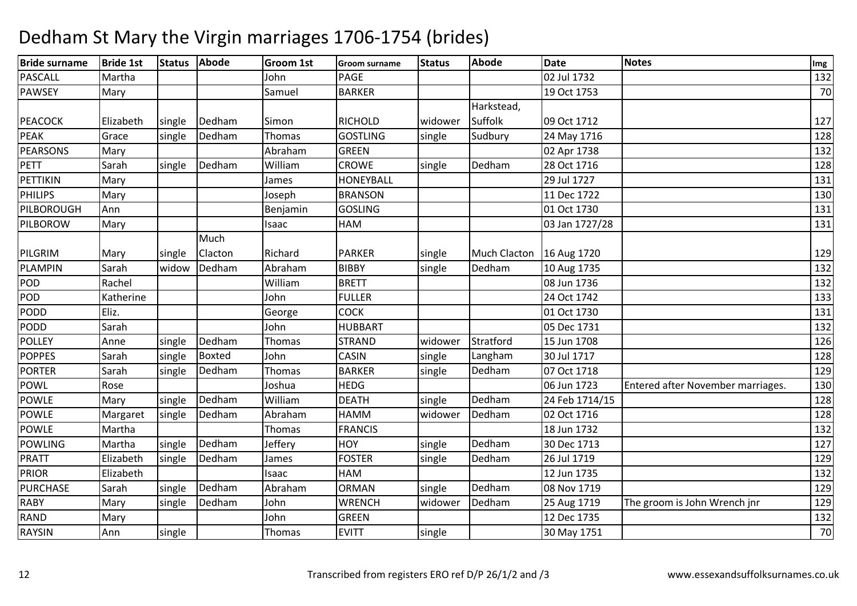| <b>Bride surname</b> | <b>Bride 1st</b> |        | Status Abode  | <b>Groom 1st</b> | <b>Groom surname</b> | <b>Status</b> | <b>Abode</b>        | <b>Date</b>    | <b>Notes</b>                      | Img |
|----------------------|------------------|--------|---------------|------------------|----------------------|---------------|---------------------|----------------|-----------------------------------|-----|
| <b>PASCALL</b>       | Martha           |        |               | John             | PAGE                 |               |                     | 02 Jul 1732    |                                   | 132 |
| <b>PAWSEY</b>        | Mary             |        |               | Samuel           | <b>BARKER</b>        |               |                     | 19 Oct 1753    |                                   | 70  |
|                      |                  |        |               |                  |                      |               | Harkstead,          |                |                                   |     |
| <b>PEACOCK</b>       | Elizabeth        | single | Dedham        | Simon            | <b>RICHOLD</b>       | widower       | Suffolk             | 09 Oct 1712    |                                   | 127 |
| <b>PEAK</b>          | Grace            | single | Dedham        | Thomas           | <b>GOSTLING</b>      | single        | Sudbury             | 24 May 1716    |                                   | 128 |
| <b>PEARSONS</b>      | Mary             |        |               | Abraham          | <b>GREEN</b>         |               |                     | 02 Apr 1738    |                                   | 132 |
| PETT                 | Sarah            | single | Dedham        | William          | <b>CROWE</b>         | single        | Dedham              | 28 Oct 1716    |                                   | 128 |
| PETTIKIN             | Mary             |        |               | James            | <b>HONEYBALL</b>     |               |                     | 29 Jul 1727    |                                   | 131 |
| <b>PHILIPS</b>       | Mary             |        |               | Joseph           | <b>BRANSON</b>       |               |                     | 11 Dec 1722    |                                   | 130 |
| PILBOROUGH           | Ann              |        |               | Benjamin         | <b>GOSLING</b>       |               |                     | 01 Oct 1730    |                                   | 131 |
| PILBOROW             | Mary             |        |               | Isaac            | <b>HAM</b>           |               |                     | 03 Jan 1727/28 |                                   | 131 |
|                      |                  |        | Much          |                  |                      |               |                     |                |                                   |     |
| PILGRIM              | Mary             | single | Clacton       | Richard          | <b>PARKER</b>        | single        | <b>Much Clacton</b> | 16 Aug 1720    |                                   | 129 |
| PLAMPIN              | Sarah            | widow  | Dedham        | Abraham          | <b>BIBBY</b>         | single        | Dedham              | 10 Aug 1735    |                                   | 132 |
| POD                  | Rachel           |        |               | William          | <b>BRETT</b>         |               |                     | 08 Jun 1736    |                                   | 132 |
| POD                  | Katherine        |        |               | John             | <b>FULLER</b>        |               |                     | 24 Oct 1742    |                                   | 133 |
| PODD                 | Eliz.            |        |               | George           | <b>COCK</b>          |               |                     | 01 Oct 1730    |                                   | 131 |
| PODD                 | Sarah            |        |               | John             | <b>HUBBART</b>       |               |                     | 05 Dec 1731    |                                   | 132 |
| <b>POLLEY</b>        | Anne             | single | Dedham        | <b>Thomas</b>    | <b>STRAND</b>        | widower       | Stratford           | 15 Jun 1708    |                                   | 126 |
| <b>POPPES</b>        | Sarah            | single | <b>Boxted</b> | John             | CASIN                | single        | Langham             | 30 Jul 1717    |                                   | 128 |
| <b>PORTER</b>        | Sarah            | single | Dedham        | <b>Thomas</b>    | <b>BARKER</b>        | single        | Dedham              | 07 Oct 1718    |                                   | 129 |
| <b>POWL</b>          | Rose             |        |               | Joshua           | <b>HEDG</b>          |               |                     | 06 Jun 1723    | Entered after November marriages. | 130 |
| <b>POWLE</b>         | Mary             | single | Dedham        | William          | <b>DEATH</b>         | single        | Dedham              | 24 Feb 1714/15 |                                   | 128 |
| <b>POWLE</b>         | Margaret         | single | Dedham        | Abraham          | HAMM                 | widower       | Dedham              | 02 Oct 1716    |                                   | 128 |
| <b>POWLE</b>         | Martha           |        |               | Thomas           | <b>FRANCIS</b>       |               |                     | 18 Jun 1732    |                                   | 132 |
| <b>POWLING</b>       | Martha           | single | Dedham        | Jeffery          | <b>HOY</b>           | single        | Dedham              | 30 Dec 1713    |                                   | 127 |
| PRATT                | Elizabeth        | single | Dedham        | James            | <b>FOSTER</b>        | single        | Dedham              | 26 Jul 1719    |                                   | 129 |
| <b>PRIOR</b>         | Elizabeth        |        |               | Isaac            | HAM                  |               |                     | 12 Jun 1735    |                                   | 132 |
| <b>PURCHASE</b>      | Sarah            | single | Dedham        | Abraham          | <b>ORMAN</b>         | single        | Dedham              | 08 Nov 1719    |                                   | 129 |
| <b>RABY</b>          | Mary             | single | Dedham        | John             | <b>WRENCH</b>        | widower       | Dedham              | 25 Aug 1719    | The groom is John Wrench jnr      | 129 |
| <b>RAND</b>          | Mary             |        |               | John             | GREEN                |               |                     | 12 Dec 1735    |                                   | 132 |
| <b>RAYSIN</b>        | Ann              | single |               | Thomas           | <b>EVITT</b>         | single        |                     | 30 May 1751    |                                   | 70  |
|                      |                  |        |               |                  |                      |               |                     |                |                                   |     |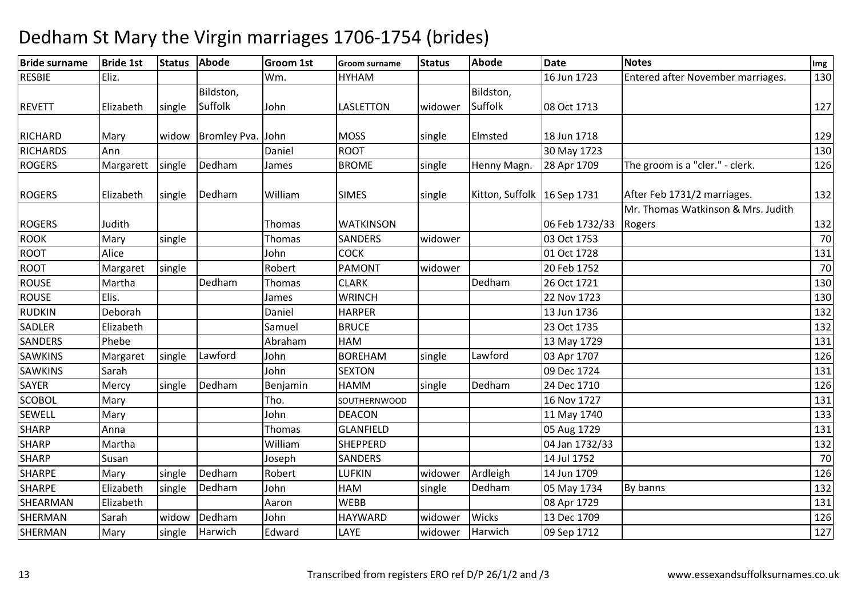| 16 Jun 1723<br>Entered after November marriages.<br>HYHAM<br>130<br>Eliz.<br>Wm.<br>Bildston,<br>Bildston,<br>Suffolk<br>Suffolk<br><b>LASLETTON</b><br>127<br>Elizabeth<br>John<br>08 Oct 1713<br>single<br>widower<br>Bromley Pva. John<br>129<br>widow<br><b>MOSS</b><br>Elmsted<br>18 Jun 1718<br>Mary<br>single<br><b>ROOT</b><br>Ann<br>Daniel<br>30 May 1723<br>130<br>Dedham<br>The groom is a "cler." - clerk.<br><b>BROME</b><br>Henny Magn.<br>28 Apr 1709<br>126<br>Margarett<br>single<br>single<br>James<br>After Feb 1731/2 marriages.<br>Dedham<br>William<br>Kitton, Suffolk   16 Sep 1731<br>Elizabeth<br>132<br>single<br><b>SIMES</b><br>single<br>Mr. Thomas Watkinson & Mrs. Judith<br>Judith<br><b>WATKINSON</b><br>06 Feb 1732/33<br>132<br>Thomas<br>Rogers<br>03 Oct 1753<br>70<br>SANDERS<br>Mary<br>Thomas<br>widower<br>single<br>Alice<br>John<br><b>COCK</b><br>01 Oct 1728<br>131<br>70<br>20 Feb 1752<br>Robert<br><b>PAMONT</b><br>Margaret<br>widower<br>single<br>Dedham<br>Martha<br>Dedham<br><b>CLARK</b><br>26 Oct 1721<br>130<br>Thomas<br>Elis.<br><b>WRINCH</b><br>130<br>22 Nov 1723<br>James<br>Deborah<br>Daniel<br><b>HARPER</b><br>13 Jun 1736<br>132<br><b>BRUCE</b><br>23 Oct 1735<br>132<br>Elizabeth<br>Samuel<br>Phebe<br>Abraham<br><b>HAM</b><br>131<br>13 May 1729<br>126<br>Lawford<br><b>BOREHAM</b><br>Lawford<br>John<br>03 Apr 1707<br>Margaret<br>single<br>single<br>John<br>131<br>Sarah<br><b>SEXTON</b><br>09 Dec 1724<br>Dedham<br>Dedham<br>Mercy<br>Benjamin<br><b>HAMM</b><br>24 Dec 1710<br>126<br>single<br>single<br>Mary<br>Tho.<br>131<br>16 Nov 1727<br>SOUTHERNWOOD<br>133<br><b>DEACON</b><br>John<br>11 May 1740<br>Mary<br>131<br><b>Thomas</b><br><b>GLANFIELD</b><br>05 Aug 1729<br>Anna<br>William<br>Martha<br><b>SHEPPERD</b><br>132<br>04 Jan 1732/33<br>14 Jul 1752<br>70<br>Susan<br><b>SANDERS</b><br>Joseph<br>Dedham<br>Ardleigh<br>Robert<br>LUFKIN<br>14 Jun 1709<br>126<br>single<br>widower<br>Mary<br>Dedham<br>John<br><b>HAM</b><br>Dedham<br>132<br>Elizabeth<br>By banns<br>single<br>single<br>05 May 1734<br><b>WEBB</b><br>Elizabeth<br>131<br>Aaron<br>08 Apr 1729<br>Dedham<br>Wicks<br>Sarah<br>126<br>John<br><b>HAYWARD</b><br>widower<br>13 Dec 1709<br>widow<br>127<br>Edward<br>LAYE<br>Mary<br>Harwich<br>Harwich<br>09 Sep 1712<br>single<br>widower | <b>Bride surname</b> | <b>Bride 1st</b> | <b>Status</b> | <b>Abode</b> | <b>Groom 1st</b> | <b>Groom surname</b> | <b>Status</b> | <b>Abode</b> | <b>Date</b> | <b>Notes</b> | Img |
|-----------------------------------------------------------------------------------------------------------------------------------------------------------------------------------------------------------------------------------------------------------------------------------------------------------------------------------------------------------------------------------------------------------------------------------------------------------------------------------------------------------------------------------------------------------------------------------------------------------------------------------------------------------------------------------------------------------------------------------------------------------------------------------------------------------------------------------------------------------------------------------------------------------------------------------------------------------------------------------------------------------------------------------------------------------------------------------------------------------------------------------------------------------------------------------------------------------------------------------------------------------------------------------------------------------------------------------------------------------------------------------------------------------------------------------------------------------------------------------------------------------------------------------------------------------------------------------------------------------------------------------------------------------------------------------------------------------------------------------------------------------------------------------------------------------------------------------------------------------------------------------------------------------------------------------------------------------------------------------------------------------------------------------------------------------------------------------------------------------------------------------------------------------------------------------------------------------------------------------------------------------------------------------------------------------------------------------------------------------------------|----------------------|------------------|---------------|--------------|------------------|----------------------|---------------|--------------|-------------|--------------|-----|
|                                                                                                                                                                                                                                                                                                                                                                                                                                                                                                                                                                                                                                                                                                                                                                                                                                                                                                                                                                                                                                                                                                                                                                                                                                                                                                                                                                                                                                                                                                                                                                                                                                                                                                                                                                                                                                                                                                                                                                                                                                                                                                                                                                                                                                                                                                                                                                       | <b>RESBIE</b>        |                  |               |              |                  |                      |               |              |             |              |     |
|                                                                                                                                                                                                                                                                                                                                                                                                                                                                                                                                                                                                                                                                                                                                                                                                                                                                                                                                                                                                                                                                                                                                                                                                                                                                                                                                                                                                                                                                                                                                                                                                                                                                                                                                                                                                                                                                                                                                                                                                                                                                                                                                                                                                                                                                                                                                                                       |                      |                  |               |              |                  |                      |               |              |             |              |     |
|                                                                                                                                                                                                                                                                                                                                                                                                                                                                                                                                                                                                                                                                                                                                                                                                                                                                                                                                                                                                                                                                                                                                                                                                                                                                                                                                                                                                                                                                                                                                                                                                                                                                                                                                                                                                                                                                                                                                                                                                                                                                                                                                                                                                                                                                                                                                                                       | <b>REVETT</b>        |                  |               |              |                  |                      |               |              |             |              |     |
|                                                                                                                                                                                                                                                                                                                                                                                                                                                                                                                                                                                                                                                                                                                                                                                                                                                                                                                                                                                                                                                                                                                                                                                                                                                                                                                                                                                                                                                                                                                                                                                                                                                                                                                                                                                                                                                                                                                                                                                                                                                                                                                                                                                                                                                                                                                                                                       |                      |                  |               |              |                  |                      |               |              |             |              |     |
|                                                                                                                                                                                                                                                                                                                                                                                                                                                                                                                                                                                                                                                                                                                                                                                                                                                                                                                                                                                                                                                                                                                                                                                                                                                                                                                                                                                                                                                                                                                                                                                                                                                                                                                                                                                                                                                                                                                                                                                                                                                                                                                                                                                                                                                                                                                                                                       | RICHARD              |                  |               |              |                  |                      |               |              |             |              |     |
|                                                                                                                                                                                                                                                                                                                                                                                                                                                                                                                                                                                                                                                                                                                                                                                                                                                                                                                                                                                                                                                                                                                                                                                                                                                                                                                                                                                                                                                                                                                                                                                                                                                                                                                                                                                                                                                                                                                                                                                                                                                                                                                                                                                                                                                                                                                                                                       | <b>RICHARDS</b>      |                  |               |              |                  |                      |               |              |             |              |     |
|                                                                                                                                                                                                                                                                                                                                                                                                                                                                                                                                                                                                                                                                                                                                                                                                                                                                                                                                                                                                                                                                                                                                                                                                                                                                                                                                                                                                                                                                                                                                                                                                                                                                                                                                                                                                                                                                                                                                                                                                                                                                                                                                                                                                                                                                                                                                                                       | <b>ROGERS</b>        |                  |               |              |                  |                      |               |              |             |              |     |
|                                                                                                                                                                                                                                                                                                                                                                                                                                                                                                                                                                                                                                                                                                                                                                                                                                                                                                                                                                                                                                                                                                                                                                                                                                                                                                                                                                                                                                                                                                                                                                                                                                                                                                                                                                                                                                                                                                                                                                                                                                                                                                                                                                                                                                                                                                                                                                       | <b>ROGERS</b>        |                  |               |              |                  |                      |               |              |             |              |     |
|                                                                                                                                                                                                                                                                                                                                                                                                                                                                                                                                                                                                                                                                                                                                                                                                                                                                                                                                                                                                                                                                                                                                                                                                                                                                                                                                                                                                                                                                                                                                                                                                                                                                                                                                                                                                                                                                                                                                                                                                                                                                                                                                                                                                                                                                                                                                                                       |                      |                  |               |              |                  |                      |               |              |             |              |     |
|                                                                                                                                                                                                                                                                                                                                                                                                                                                                                                                                                                                                                                                                                                                                                                                                                                                                                                                                                                                                                                                                                                                                                                                                                                                                                                                                                                                                                                                                                                                                                                                                                                                                                                                                                                                                                                                                                                                                                                                                                                                                                                                                                                                                                                                                                                                                                                       | <b>ROGERS</b>        |                  |               |              |                  |                      |               |              |             |              |     |
|                                                                                                                                                                                                                                                                                                                                                                                                                                                                                                                                                                                                                                                                                                                                                                                                                                                                                                                                                                                                                                                                                                                                                                                                                                                                                                                                                                                                                                                                                                                                                                                                                                                                                                                                                                                                                                                                                                                                                                                                                                                                                                                                                                                                                                                                                                                                                                       | <b>ROOK</b>          |                  |               |              |                  |                      |               |              |             |              |     |
|                                                                                                                                                                                                                                                                                                                                                                                                                                                                                                                                                                                                                                                                                                                                                                                                                                                                                                                                                                                                                                                                                                                                                                                                                                                                                                                                                                                                                                                                                                                                                                                                                                                                                                                                                                                                                                                                                                                                                                                                                                                                                                                                                                                                                                                                                                                                                                       | <b>ROOT</b>          |                  |               |              |                  |                      |               |              |             |              |     |
|                                                                                                                                                                                                                                                                                                                                                                                                                                                                                                                                                                                                                                                                                                                                                                                                                                                                                                                                                                                                                                                                                                                                                                                                                                                                                                                                                                                                                                                                                                                                                                                                                                                                                                                                                                                                                                                                                                                                                                                                                                                                                                                                                                                                                                                                                                                                                                       | <b>ROOT</b>          |                  |               |              |                  |                      |               |              |             |              |     |
|                                                                                                                                                                                                                                                                                                                                                                                                                                                                                                                                                                                                                                                                                                                                                                                                                                                                                                                                                                                                                                                                                                                                                                                                                                                                                                                                                                                                                                                                                                                                                                                                                                                                                                                                                                                                                                                                                                                                                                                                                                                                                                                                                                                                                                                                                                                                                                       | ROUSE                |                  |               |              |                  |                      |               |              |             |              |     |
|                                                                                                                                                                                                                                                                                                                                                                                                                                                                                                                                                                                                                                                                                                                                                                                                                                                                                                                                                                                                                                                                                                                                                                                                                                                                                                                                                                                                                                                                                                                                                                                                                                                                                                                                                                                                                                                                                                                                                                                                                                                                                                                                                                                                                                                                                                                                                                       | <b>ROUSE</b>         |                  |               |              |                  |                      |               |              |             |              |     |
|                                                                                                                                                                                                                                                                                                                                                                                                                                                                                                                                                                                                                                                                                                                                                                                                                                                                                                                                                                                                                                                                                                                                                                                                                                                                                                                                                                                                                                                                                                                                                                                                                                                                                                                                                                                                                                                                                                                                                                                                                                                                                                                                                                                                                                                                                                                                                                       | <b>RUDKIN</b>        |                  |               |              |                  |                      |               |              |             |              |     |
|                                                                                                                                                                                                                                                                                                                                                                                                                                                                                                                                                                                                                                                                                                                                                                                                                                                                                                                                                                                                                                                                                                                                                                                                                                                                                                                                                                                                                                                                                                                                                                                                                                                                                                                                                                                                                                                                                                                                                                                                                                                                                                                                                                                                                                                                                                                                                                       | <b>SADLER</b>        |                  |               |              |                  |                      |               |              |             |              |     |
|                                                                                                                                                                                                                                                                                                                                                                                                                                                                                                                                                                                                                                                                                                                                                                                                                                                                                                                                                                                                                                                                                                                                                                                                                                                                                                                                                                                                                                                                                                                                                                                                                                                                                                                                                                                                                                                                                                                                                                                                                                                                                                                                                                                                                                                                                                                                                                       | SANDERS              |                  |               |              |                  |                      |               |              |             |              |     |
|                                                                                                                                                                                                                                                                                                                                                                                                                                                                                                                                                                                                                                                                                                                                                                                                                                                                                                                                                                                                                                                                                                                                                                                                                                                                                                                                                                                                                                                                                                                                                                                                                                                                                                                                                                                                                                                                                                                                                                                                                                                                                                                                                                                                                                                                                                                                                                       | <b>SAWKINS</b>       |                  |               |              |                  |                      |               |              |             |              |     |
|                                                                                                                                                                                                                                                                                                                                                                                                                                                                                                                                                                                                                                                                                                                                                                                                                                                                                                                                                                                                                                                                                                                                                                                                                                                                                                                                                                                                                                                                                                                                                                                                                                                                                                                                                                                                                                                                                                                                                                                                                                                                                                                                                                                                                                                                                                                                                                       | <b>SAWKINS</b>       |                  |               |              |                  |                      |               |              |             |              |     |
|                                                                                                                                                                                                                                                                                                                                                                                                                                                                                                                                                                                                                                                                                                                                                                                                                                                                                                                                                                                                                                                                                                                                                                                                                                                                                                                                                                                                                                                                                                                                                                                                                                                                                                                                                                                                                                                                                                                                                                                                                                                                                                                                                                                                                                                                                                                                                                       | SAYER                |                  |               |              |                  |                      |               |              |             |              |     |
|                                                                                                                                                                                                                                                                                                                                                                                                                                                                                                                                                                                                                                                                                                                                                                                                                                                                                                                                                                                                                                                                                                                                                                                                                                                                                                                                                                                                                                                                                                                                                                                                                                                                                                                                                                                                                                                                                                                                                                                                                                                                                                                                                                                                                                                                                                                                                                       | <b>SCOBOL</b>        |                  |               |              |                  |                      |               |              |             |              |     |
|                                                                                                                                                                                                                                                                                                                                                                                                                                                                                                                                                                                                                                                                                                                                                                                                                                                                                                                                                                                                                                                                                                                                                                                                                                                                                                                                                                                                                                                                                                                                                                                                                                                                                                                                                                                                                                                                                                                                                                                                                                                                                                                                                                                                                                                                                                                                                                       | <b>SEWELL</b>        |                  |               |              |                  |                      |               |              |             |              |     |
|                                                                                                                                                                                                                                                                                                                                                                                                                                                                                                                                                                                                                                                                                                                                                                                                                                                                                                                                                                                                                                                                                                                                                                                                                                                                                                                                                                                                                                                                                                                                                                                                                                                                                                                                                                                                                                                                                                                                                                                                                                                                                                                                                                                                                                                                                                                                                                       | <b>SHARP</b>         |                  |               |              |                  |                      |               |              |             |              |     |
|                                                                                                                                                                                                                                                                                                                                                                                                                                                                                                                                                                                                                                                                                                                                                                                                                                                                                                                                                                                                                                                                                                                                                                                                                                                                                                                                                                                                                                                                                                                                                                                                                                                                                                                                                                                                                                                                                                                                                                                                                                                                                                                                                                                                                                                                                                                                                                       | <b>SHARP</b>         |                  |               |              |                  |                      |               |              |             |              |     |
|                                                                                                                                                                                                                                                                                                                                                                                                                                                                                                                                                                                                                                                                                                                                                                                                                                                                                                                                                                                                                                                                                                                                                                                                                                                                                                                                                                                                                                                                                                                                                                                                                                                                                                                                                                                                                                                                                                                                                                                                                                                                                                                                                                                                                                                                                                                                                                       | <b>SHARP</b>         |                  |               |              |                  |                      |               |              |             |              |     |
|                                                                                                                                                                                                                                                                                                                                                                                                                                                                                                                                                                                                                                                                                                                                                                                                                                                                                                                                                                                                                                                                                                                                                                                                                                                                                                                                                                                                                                                                                                                                                                                                                                                                                                                                                                                                                                                                                                                                                                                                                                                                                                                                                                                                                                                                                                                                                                       | <b>SHARPE</b>        |                  |               |              |                  |                      |               |              |             |              |     |
|                                                                                                                                                                                                                                                                                                                                                                                                                                                                                                                                                                                                                                                                                                                                                                                                                                                                                                                                                                                                                                                                                                                                                                                                                                                                                                                                                                                                                                                                                                                                                                                                                                                                                                                                                                                                                                                                                                                                                                                                                                                                                                                                                                                                                                                                                                                                                                       | <b>SHARPE</b>        |                  |               |              |                  |                      |               |              |             |              |     |
|                                                                                                                                                                                                                                                                                                                                                                                                                                                                                                                                                                                                                                                                                                                                                                                                                                                                                                                                                                                                                                                                                                                                                                                                                                                                                                                                                                                                                                                                                                                                                                                                                                                                                                                                                                                                                                                                                                                                                                                                                                                                                                                                                                                                                                                                                                                                                                       | SHEARMAN             |                  |               |              |                  |                      |               |              |             |              |     |
|                                                                                                                                                                                                                                                                                                                                                                                                                                                                                                                                                                                                                                                                                                                                                                                                                                                                                                                                                                                                                                                                                                                                                                                                                                                                                                                                                                                                                                                                                                                                                                                                                                                                                                                                                                                                                                                                                                                                                                                                                                                                                                                                                                                                                                                                                                                                                                       | SHERMAN              |                  |               |              |                  |                      |               |              |             |              |     |
|                                                                                                                                                                                                                                                                                                                                                                                                                                                                                                                                                                                                                                                                                                                                                                                                                                                                                                                                                                                                                                                                                                                                                                                                                                                                                                                                                                                                                                                                                                                                                                                                                                                                                                                                                                                                                                                                                                                                                                                                                                                                                                                                                                                                                                                                                                                                                                       | SHERMAN              |                  |               |              |                  |                      |               |              |             |              |     |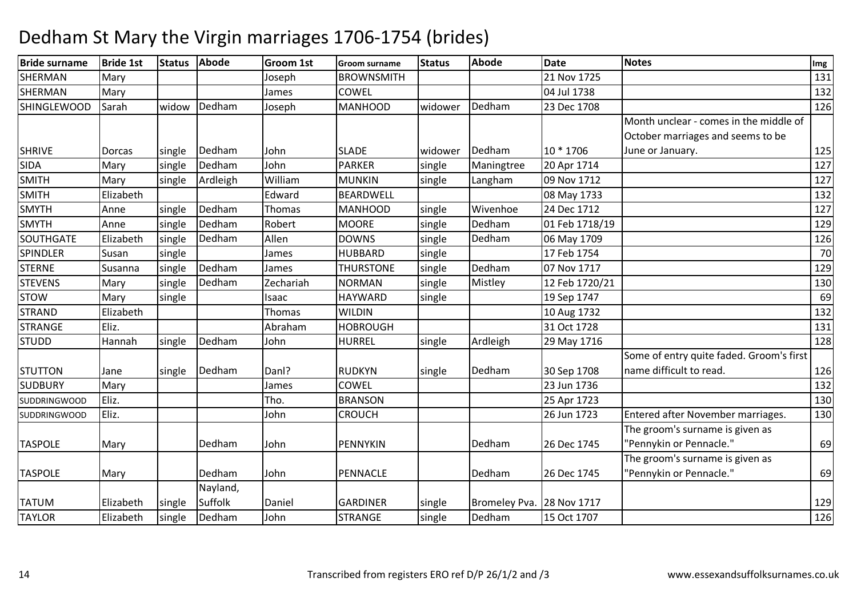#### **Bride surname Bride 1st Status Abode Groom 1st Groom surname Status Abode Date Notes Img SHERMAN** N Mary Joseph BROWNSMITH 21 Nov 1725 21 Nov 1725 131 SHERMANN Mary James COWEL 132 **SHINGLEWOOD**  Sarah widow Dedhamm Joseph MANHOOD widower Dedham 23 Dec 1708 11 126 1708 126 SHRIVE Dorcas Isingle Dedham John SLADE widower Dedham 10 \* 1706 Month unclear - comes in the middle of October marriages and seems to be June or January. 125 $127$ SIDAA Mary single Dedham m John PARKER single Maningtree 20 Apr 1714 127<br>1995 - John Stein Schweizer, deutsche Spanisher (d. 1879) SMITHH Mary Single Ardleigh William m MUNKIN single Langham 09 Nov 1712 127<br>127 SMITHH Elizabeth Edward BEARDWELL 08 May 1733 132 SMYTHAnne Single Dedham<br>Anne Single Dedham m Thomas MANHOOD single Wivenhoe 24 Dec 1712 127 127 127 SMYTHsingle Dedham<br>single Dedham m Robert MOORE single Dedham 01 Feb 1718/19 129<br>129 - Robert Saving Line Saving School (1898) **SOUTHGATE**  ElizabethDedham Allen DOWNS single Dedham 06 May 1709 <sup>126</sup> SPINDLERR Susan single James HUBBARD D single 17 Feb 1754 70 **STERNE** Susanna *single*  Dedham James THURSTONE single Dedham 07 Nov 1717 <sup>129</sup> **STEVENS** Mary single Dedhamm | Zechariah | NORMAN | single | Mistley | 12 Feb 1720/21 | 130 | 130 | 130 | 130 | 130 | 130 | 130 | 130 | 130 | 130 | 130 | 130 | 130 | 130 | 130 | 130 | 130 | 130 | 130 | 130 | 130 | 130 | 130 | 130 | 130 | 130 | 130 | STOWW Mary single Isaac HAYWARD single 19 Sep 1747 69<br>AND Elizabeth Themes WILDIN STRANDD Elizabeth Thomas WILDIN N 132 **STRANGE** Eliz. Research Library Publishers (Abraham HOBROUGH 31 Oct 1728 <sup>131</sup> STUDDHannah single Dedham m John HURREL single Ardleigh 29 May 1716 128 march 128 STUTTON Jane Isingle Dedham m Danl? RUDKYN single Dedham 30 Sep 1708<br>1986 - Carrier Leones, 1996 Some of entry quite faded. Groom's first name difficult to read. 126132 **SUDBURY** Y Mary 1988 COWEL 1. 23 Jun 1736 6 132 SUDDRINGWOOD Eliz. Tho. BRANSONN 25 Apr 1723 25 Apr 1723 25 Apr 1723 25 Apr 1723 25 Apr 2013 0 SUDDRINGWOOD Eliz. JohnJohn **CROUCH** 26 Jun 1723 | Entered after November marriages. | 130 TASPOLE Mary I Dedham m John PENNYKIN Dedham 26 Dec 1745 The groom's surname is given as "Pennykin or Pennacle.""69 TASPOLE Mary I Dedham m John PENNACLE Dedham 26 Dec 1745 The groom's surname is given as "Pennykin or Pennacle.""69 TATUM **Elizabeth** single Nayland, SuffolkSuffolk Daniel GARDINER single Bromeley Pva. 28 Nov 1717<br>Dedham John STRANGE single Dedham 15 Oct 1707 <u>2</u> 129 TAYLORElizabeth *single* m |John |STRANGE |single |Dedham |15 Oct 1707 | | 126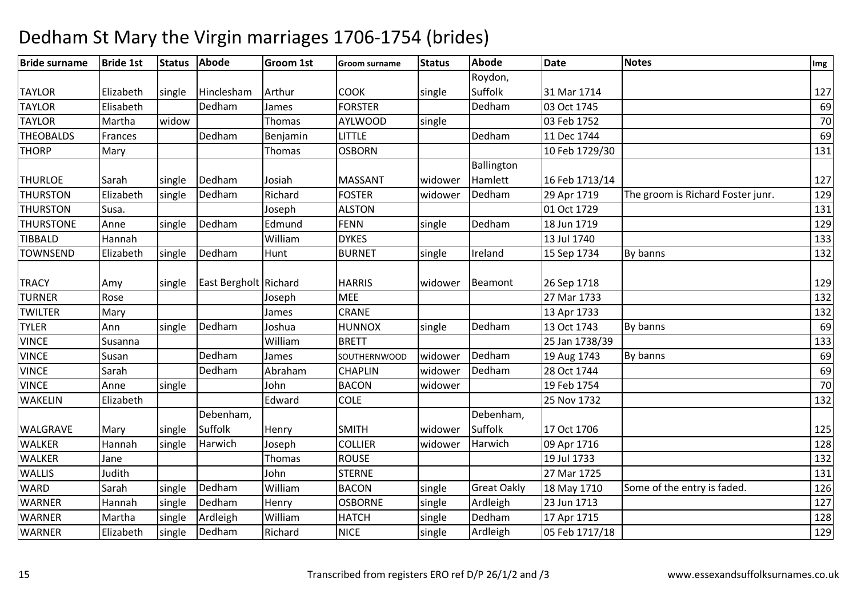#### **Bride surname Bride 1st Status Abode Groom 1st Groom surname Status Abode Date Notes Img** TAYLOR | Elizabeth | single | Hinclesham<br>TAYLOR | Elisabeth | Dedham m Arthur COOK single Roydon, Suffolk 31 Mar 17144 127 TAYLORElisabeth James FORSTER Dedham 03 Oct 1745 <sup>69</sup> TAYLORMartha **widow** w Thomas AYLWOOD single 03 Feb 1752 70 **THEOBALDS** Frances **Dedham** m Benjamin LITTLE Dedham 11 Dec 1744 - Benjamin LITTLE 69<br>En El Concert de Localiste de Little de Little de Little de Little de Little de Little de Little de Little de **THORP** P Mary National P Mary New Mary New YosBORN N 131 THURLOE Sarah Single Dedham m Josiah MASSANT widower<br>———————————————————— **Ballington** Hamlett 16 Feb 1713/144 127 THURSTONElizabeth single Dedham<br>Susa. Richard FOSTER widower Dedham 29 Apr 1719 The groom is Richard Foster junr. 129<br>Joseph ALSTON 131 THURSTONN Susa. Juseph ALSTON 01 Oct 1729 131 **THURSTONE**  Annesingle Dedham m Edmund FENN single Dedham 18 Jun 1719 129<br>1999 - The State of Tennis State of Tennis Indiana 18 Jun 1719 129 TIBBALDD Hannah William m DYKES 133<br>133 Jul 1740 133 Jul 1740 133 TOWNSENDElizabeth single Dedham m Hunt BURNET single Ireland 15 Sep 1734 By banns 132 TRACY Amy single East Bergholt Richard HARRIS widower Beamont 26 Sep 17188 129 TURNERR Rose July 132 TWILTERR Mary James CRANE 133 Apr 1733 132 TYLERAnn single Dedham m Joshua HUNNOX single Dedham 13 Oct 1743 By banns 1998 COM 1898 COM 1898 COM 1898 COM 1898 COM 1899 COM 1899 COM<br>1999 Communication of the Second Lines of the Communication of the Communication of the Communication of the VINCEE Susanna Nuilliam Nuilliam m BRETT 25 Jan 1738/39 133<br>25 Jan 1738/39 133 VINCE Susan Dedhamm James SOUTHERNWOOD widower Dedham 19 Aug 1743 By banns 19 Augustus 169 By banns 169 By banns 169 By banns 169<br>The Council of the Council of the Council of the Council of the Council of the Council of the Council of the C **VINCE**  Sarah DedhamAbraham<br>John CHAPLIN widower Dedham 28 Oct 1744 <sup>69</sup> VINCE Annesingle John<br>
Boldward **BACON** N Widower 19 Feb 1754 70 WAKELINN Elizabeth Edward COLE 25 Nov 1732 25 Nov 1732 25 Nov 1732 25 Nov 1732 25 Nov 1732 25 Nov 1732 25 Nov 1732 25 Nov 1732 25 Nov 1732 25 Nov 1732 25 Nov 1732 25 Nov 1732 25 Nov 1732 25 Nov 1732 25 Nov 1732 25 Nov 1732 25 Nov WALGRAVE Mary single Debenham, **Suffolk** | Suffolk | Henry | SMITH | widower<br>| Harwich | Joseph | COLLIER | widower Debenham, Suffolk 17 Oct 17066 125 WALKERR Mannah Single Harwich Joseph COLLIER widower Harwich 09 Apr 1716 128 WALKERR Jane Thomas ROUSE 19 Jul 1733 132 WALLIS Judith John STERNE 27 Mar 1725 <sup>131</sup> **WARD** Sarah Single Dedham<br>Hannah single Dedham William<br>Henry BACON single Great Oakly 18 May 1710 Some of the entry is faded. 126<br>OSBORNE single Ardleigh 23 Jun 1713 WARNERHannah Single Dedham<br>Martha Single Ardleigh Henry OSBORNE single Ardleigh 23 Jun 1713 <sup>127</sup> WARNERR Martha single Ardleigh William m HATCH single Dedham 17 Apr 1715 128<br>1988 - The London State of the Second Line of the Second Line of the Second Line of the Second Line of the Second Line WARNERElizabeth single Dedham Richard NICE single Ardleigh 05 Feb 1717/18 <sup>129</sup>